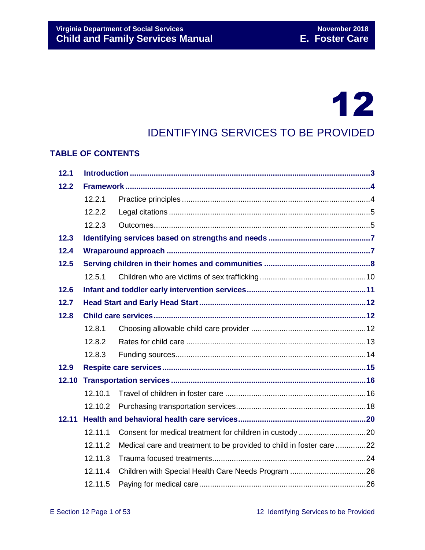# 12

## IDENTIFYING SERVICES TO BE PROVIDED

#### **TABLE OF CONTENTS**

| 12.1  |         |                                                                      |  |  |
|-------|---------|----------------------------------------------------------------------|--|--|
| 12.2  |         |                                                                      |  |  |
|       | 12.2.1  |                                                                      |  |  |
|       | 12.2.2  |                                                                      |  |  |
|       | 12.2.3  |                                                                      |  |  |
| 12.3  |         |                                                                      |  |  |
| 12.4  |         |                                                                      |  |  |
| 12.5  |         |                                                                      |  |  |
|       | 12.5.1  |                                                                      |  |  |
| 12.6  |         |                                                                      |  |  |
| 12.7  |         |                                                                      |  |  |
| 12.8  |         |                                                                      |  |  |
|       | 12.8.1  |                                                                      |  |  |
|       | 12.8.2  |                                                                      |  |  |
|       | 12.8.3  |                                                                      |  |  |
| 12.9  |         |                                                                      |  |  |
| 12.10 |         |                                                                      |  |  |
|       | 12.10.1 |                                                                      |  |  |
|       | 12.10.2 |                                                                      |  |  |
| 12.11 |         |                                                                      |  |  |
|       | 12.11.1 |                                                                      |  |  |
|       | 12.11.2 | Medical care and treatment to be provided to child in foster care 22 |  |  |
|       | 12.11.3 |                                                                      |  |  |
|       | 12.11.4 |                                                                      |  |  |
|       | 12.11.5 |                                                                      |  |  |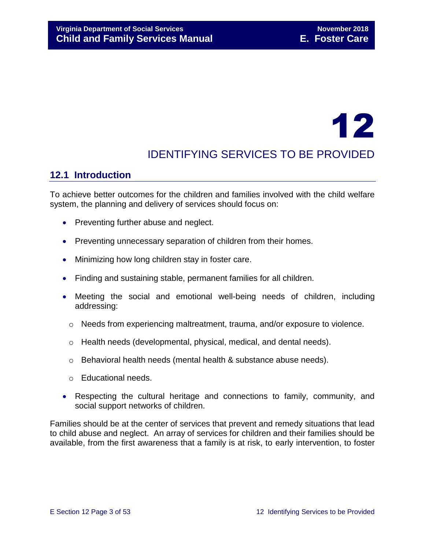# 12

## IDENTIFYING SERVICES TO BE PROVIDED

## <span id="page-2-0"></span>**12.1 Introduction**

To achieve better outcomes for the children and families involved with the child welfare system, the planning and delivery of services should focus on:

- Preventing further abuse and neglect.
- Preventing unnecessary separation of children from their homes.
- Minimizing how long children stay in foster care.
- Finding and sustaining stable, permanent families for all children.
- Meeting the social and emotional well-being needs of children, including addressing:
	- o Needs from experiencing maltreatment, trauma, and/or exposure to violence.
	- $\circ$  Health needs (developmental, physical, medical, and dental needs).
	- $\circ$  Behavioral health needs (mental health & substance abuse needs).
	- o Educational needs.
- Respecting the cultural heritage and connections to family, community, and social support networks of children.

Families should be at the center of services that prevent and remedy situations that lead to child abuse and neglect. An array of services for children and their families should be available, from the first awareness that a family is at risk, to early intervention, to foster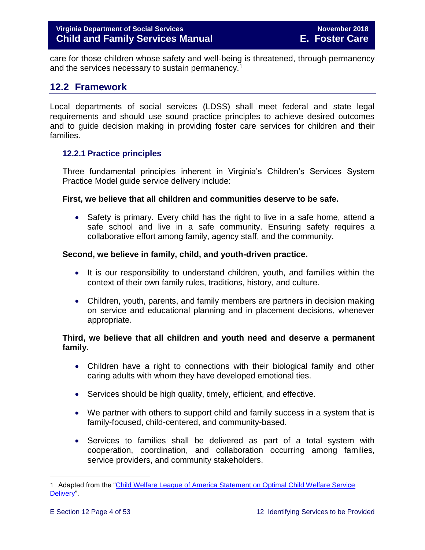care for those children whose safety and well-being is threatened, through permanency and the services necessary to sustain permanency.<sup>1</sup>

## <span id="page-3-0"></span>**12.2 Framework**

Local departments of social services (LDSS) shall meet federal and state legal requirements and should use sound practice principles to achieve desired outcomes and to guide decision making in providing foster care services for children and their families.

#### <span id="page-3-1"></span>**12.2.1 Practice principles**

Three fundamental principles inherent in Virginia's Children's Services System Practice Model guide service delivery include:

#### **First, we believe that all children and communities deserve to be safe.**

• Safety is primary. Every child has the right to live in a safe home, attend a safe school and live in a safe community. Ensuring safety requires a collaborative effort among family, agency staff, and the community.

#### **Second, we believe in family, child, and youth-driven practice.**

- It is our responsibility to understand children, youth, and families within the context of their own family rules, traditions, history, and culture.
- Children, youth, parents, and family members are partners in decision making on service and educational planning and in placement decisions, whenever appropriate.

#### **Third, we believe that all children and youth need and deserve a permanent family.**

- Children have a right to connections with their biological family and other caring adults with whom they have developed emotional ties.
- Services should be high quality, timely, efficient, and effective.
- We partner with others to support child and family success in a system that is family-focused, child-centered, and community-based.
- Services to families shall be delivered as part of a total system with cooperation, coordination, and collaboration occurring among families, service providers, and community stakeholders.

<sup>1</sup> Adapted from the "Child Welfare League of America Statement on Optimal Child Welfare Service [Delivery"](http://www.cwla.org/advocacy/financingoptimaldeliv.htm).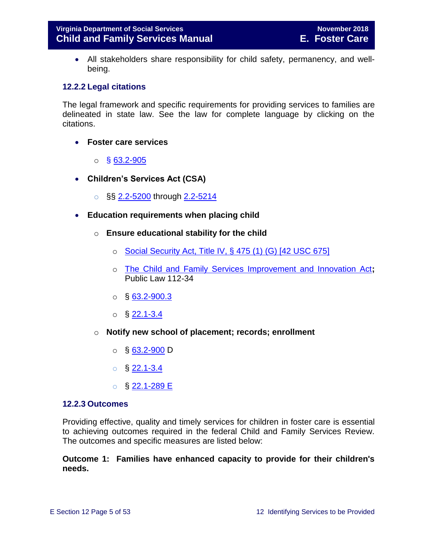All stakeholders share responsibility for child safety, permanency, and wellbeing.

#### <span id="page-4-0"></span>**12.2.2 Legal citations**

The legal framework and specific requirements for providing services to families are delineated in state law. See the law for complete language by clicking on the citations.

- **Foster care services** 
	- $\circ$  § [63.2-905](http://law.lis.virginia.gov/vacode/63.2-905/)
- **Children's Services Act (CSA)**
	- $\circ$  §§ [2.2-5200](http://law.lis.virginia.gov/vacode/2.2-5200/) through [2.2-5214](http://law.lis.virginia.gov/vacode/2.2-5214/)
- **Education requirements when placing child**
	- o **Ensure educational stability for the child**
		- $\circ$  [Social Security Act, Title IV, § 475 \(1\) \(G\) \[42 USC 675\]](http://www.ssa.gov/OP_Home/ssact/title04/0475.htm)
		- o [The Child and Family Services Improvement and Innovation Act](http://www.gpo.gov/fdsys/pkg/PLAW-112publ34/html/PLAW-112publ34.htm)**;**  Public Law 112-34
		- $\circ$  § [63.2-900.3](http://law.lis.virginia.gov/vacode/63.2-900.3/)
		- $\circ$  § [22.1-3.4](http://law.lis.virginia.gov/vacode/22.1-3.4/)
	- o **Notify new school of placement; records; enrollment**
		- $\circ$  § [63.2-900](http://law.lis.virginia.gov/vacode/63.2-900/) D
		- $\circ$  § [22.1-3.4](http://law.lis.virginia.gov/vacode/22.1-3.4/)
		- o § [22.1-289 E](http://law.lis.virginia.gov/vacode/22.1-289/)

#### <span id="page-4-1"></span>**12.2.3 Outcomes**

Providing effective, quality and timely services for children in foster care is essential to achieving outcomes required in the federal Child and Family Services Review. The outcomes and specific measures are listed below:

#### **Outcome 1: Families have enhanced capacity to provide for their children's needs.**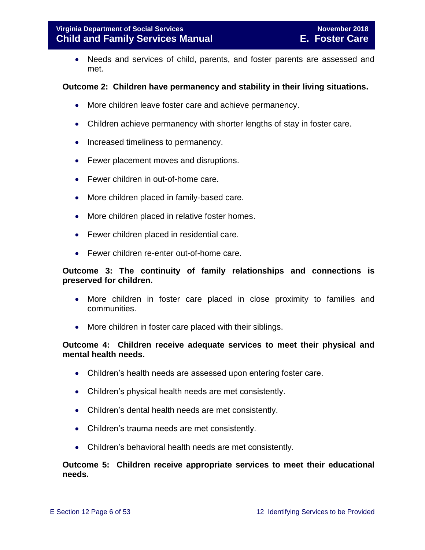Needs and services of child, parents, and foster parents are assessed and met.

#### **Outcome 2: Children have permanency and stability in their living situations.**

- More children leave foster care and achieve permanency.
- Children achieve permanency with shorter lengths of stay in foster care.
- Increased timeliness to permanency.
- Fewer placement moves and disruptions.
- Fewer children in out-of-home care.
- More children placed in family-based care.
- More children placed in relative foster homes.
- Fewer children placed in residential care.
- Fewer children re-enter out-of-home care.

#### **Outcome 3: The continuity of family relationships and connections is preserved for children.**

- More children in foster care placed in close proximity to families and communities.
- More children in foster care placed with their siblings.

#### **Outcome 4: Children receive adequate services to meet their physical and mental health needs.**

- Children's health needs are assessed upon entering foster care.
- Children's physical health needs are met consistently.
- Children's dental health needs are met consistently.
- Children's trauma needs are met consistently.
- Children's behavioral health needs are met consistently.

#### **Outcome 5: Children receive appropriate services to meet their educational needs.**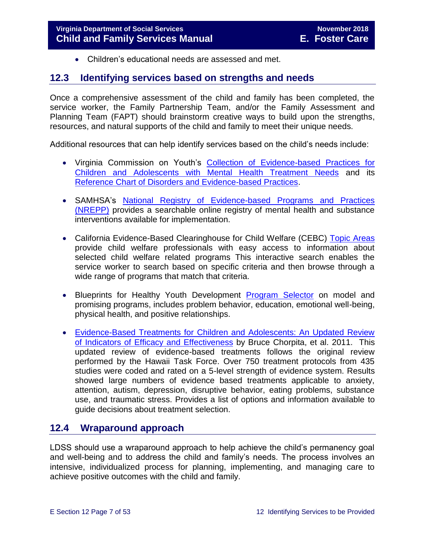<span id="page-6-0"></span>Children's educational needs are assessed and met.

## **12.3 Identifying services based on strengths and needs**

Once a comprehensive assessment of the child and family has been completed, the service worker, the Family Partnership Team, and/or the Family Assessment and Planning Team (FAPT) should brainstorm creative ways to build upon the strengths, resources, and natural supports of the child and family to meet their unique needs.

Additional resources that can help identify services based on the child's needs include:

- Virginia Commission on Youth's [Collection of Evidence-based Practices for](http://vcoy.virginia.gov/collection.asp)  [Children and Adolescents with Mental Health Treatment Needs](http://vcoy.virginia.gov/collection.asp) and its [Reference Chart of Disorders and Evidence-based Practices.](http://vcoy.virginia.gov/documents/collection/Reference_Chart.pdf)
- SAMHSA's [National Registry of Evidence-based Programs and Practices](https://www.samhsa.gov/capt/tools-learning-resources/finding-evidence-based-programs)  [\(NREPP\)](https://www.samhsa.gov/capt/tools-learning-resources/finding-evidence-based-programs) provides a searchable online registry of mental health and substance interventions available for implementation.
- California Evidence-Based Clearinghouse for Child Welfare (CEBC) Topic Areas provide child welfare professionals with easy access to information about selected child welfare related programs This interactive search enables the service worker to search based on specific criteria and then browse through a wide range of programs that match that criteria.
- Blueprints for Healthy Youth Development [Program Selector](http://www.blueprintsprograms.com/programSelector.php) on model and promising programs, includes problem behavior, education, emotional well-being, physical health, and positive relationships.
- [Evidence-Based Treatments for Children and Adolescents: An Updated Review](http://www.childfirst.ucla.edu/Chorpita%20et%20al%20(2011)-Evidence-Based%20Treatment%20for%20Children.pdf)  [of Indicators of Efficacy and Effectiveness](http://www.childfirst.ucla.edu/Chorpita%20et%20al%20(2011)-Evidence-Based%20Treatment%20for%20Children.pdf) by Bruce Chorpita, et al. 2011. This updated review of evidence-based treatments follows the original review performed by the Hawaii Task Force. Over 750 treatment protocols from 435 studies were coded and rated on a 5-level strength of evidence system. Results showed large numbers of evidence based treatments applicable to anxiety, attention, autism, depression, disruptive behavior, eating problems, substance use, and traumatic stress. Provides a list of options and information available to guide decisions about treatment selection.

## <span id="page-6-1"></span>**12.4 Wraparound approach**

LDSS should use a wraparound approach to help achieve the child's permanency goal and well-being and to address the child and family's needs. The process involves an intensive, individualized process for planning, implementing, and managing care to achieve positive outcomes with the child and family.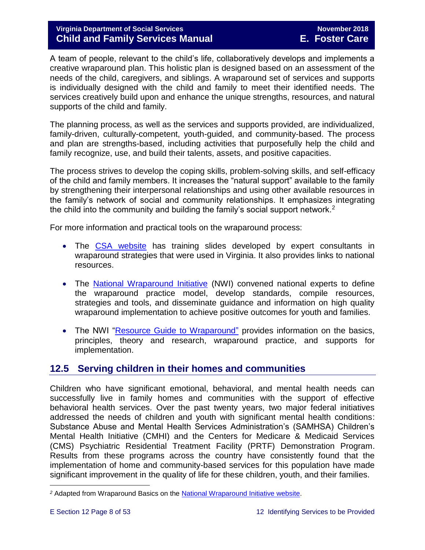A team of people, relevant to the child's life, collaboratively develops and implements a creative wraparound plan. This holistic plan is designed based on an assessment of the needs of the child, caregivers, and siblings. A wraparound set of services and supports is individually designed with the child and family to meet their identified needs. The services creatively build upon and enhance the unique strengths, resources, and natural supports of the child and family.

The planning process, as well as the services and supports provided, are individualized, family-driven, culturally-competent, youth-guided, and community-based. The process and plan are strengths-based, including activities that purposefully help the child and family recognize, use, and build their talents, assets, and positive capacities.

The process strives to develop the coping skills, problem-solving skills, and self-efficacy of the child and family members. It increases the "natural support" available to the family by strengthening their interpersonal relationships and using other available resources in the family's network of social and community relationships. It emphasizes integrating the child into the community and building the family's social support network.<sup>2</sup>

For more information and practical tools on the wraparound process:

- The [CSA website](http://www.csa.virginia.gov/html/systems_of_care/Wraparound_strategies.cfm) has training slides developed by expert consultants in wraparound strategies that were used in Virginia. It also provides links to national resources.
- The [National Wraparound Initiative](http://www.nwi.pdx.edu/) (NWI) convened national experts to define the wraparound practice model, develop standards, compile resources, strategies and tools, and disseminate guidance and information on high quality wraparound implementation to achieve positive outcomes for youth and families.
- The NWI ["Resource Guide to Wraparound"](http://www.nwi.pdx.edu/NWI-book/) provides information on the basics, principles, theory and research, wraparound practice, and supports for implementation.

## <span id="page-7-0"></span>**12.5 Serving children in their homes and communities**

Children who have significant emotional, behavioral, and mental health needs can successfully live in family homes and communities with the support of effective behavioral health services. Over the past twenty years, two major federal initiatives addressed the needs of children and youth with significant mental health conditions: Substance Abuse and Mental Health Services Administration's (SAMHSA) Children's Mental Health Initiative (CMHI) and the Centers for Medicare & Medicaid Services (CMS) Psychiatric Residential Treatment Facility (PRTF) Demonstration Program. Results from these programs across the country have consistently found that the implementation of home and community-based services for this population have made significant improvement in the quality of life for these children, youth, and their families.

*<sup>2</sup>* Adapted from Wraparound Basics on the [National Wraparound Initiative website.](http://www.nwi.pdx.edu/)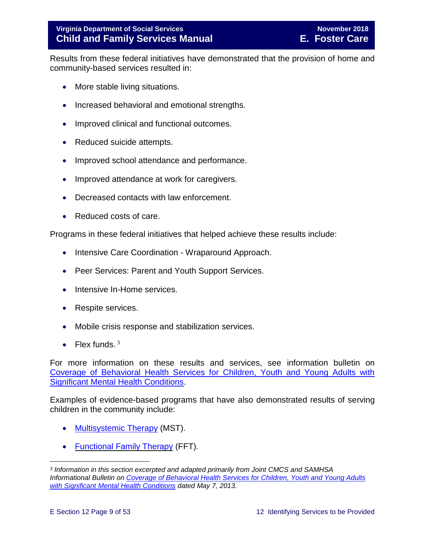Results from these federal initiatives have demonstrated that the provision of home and community-based services resulted in:

- More stable living situations.
- Increased behavioral and emotional strengths.
- Improved clinical and functional outcomes.
- Reduced suicide attempts.
- Improved school attendance and performance.
- Improved attendance at work for caregivers.
- Decreased contacts with law enforcement.
- Reduced costs of care.

Programs in these federal initiatives that helped achieve these results include:

- Intensive Care Coordination Wraparound Approach.
- Peer Services: Parent and Youth Support Services.
- Intensive In-Home services.
- Respite services.
- Mobile crisis response and stabilization services.
- Flex funds.  $3$

For more information on these results and services, see information bulletin on [Coverage of Behavioral Health Services for Children, Youth and Young Adults with](http://www.medicaid.gov/federal-policy-guidance/downloads/CIB-05-07-2013.pdf)  [Significant Mental Health Conditions.](http://www.medicaid.gov/federal-policy-guidance/downloads/CIB-05-07-2013.pdf)

Examples of evidence-based programs that have also demonstrated results of serving children in the community include:

- [Multisystemic](http://mstservices.com/index.php/what-is-mst) Therapy (MST).
- [Functional Family Therapy](http://fftllc.com/) (FFT).

*<sup>3</sup> Information in this section excerpted and adapted primarily from Joint CMCS and SAMHSA Informational Bulletin on [Coverage of Behavioral Health Services for Children, Youth and Young Adults](http://www.medicaid.gov/federal-policy-guidance/downloads/CIB-05-07-2013.pdf)  [with Significant Mental Health Conditions](http://www.medicaid.gov/federal-policy-guidance/downloads/CIB-05-07-2013.pdf) dated May 7, 2013.*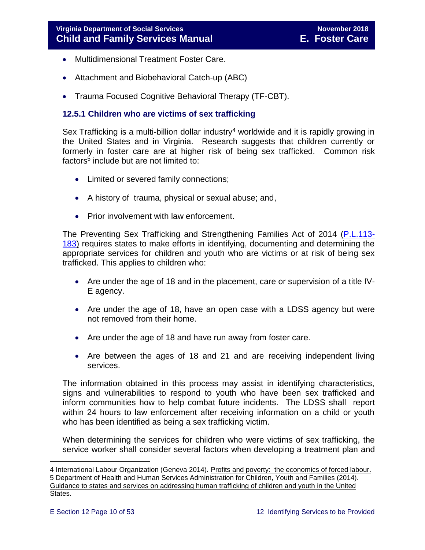- Multidimensional Treatment Foster Care.
- Attachment and Biobehavioral Catch-up (ABC)
- Trauma Focused Cognitive Behavioral Therapy (TF-CBT).

#### <span id="page-9-0"></span>**12.5.1 Children who are victims of sex trafficking**

Sex Trafficking is a multi-billion dollar industry<sup>4</sup> worldwide and it is rapidly growing in the United States and in Virginia. Research suggests that children currently or formerly in foster care are at higher risk of being sex trafficked. Common risk factors<sup>5</sup> include but are not limited to:

- Limited or severed family connections;
- A history of trauma, physical or sexual abuse; and,
- Prior involvement with law enforcement.

The Preventing Sex Trafficking and Strengthening Families Act of 2014 [\(P.L.113-](https://www.congress.gov/113/plaws/publ183/PLAW-113publ183.pdf) [183\)](https://www.congress.gov/113/plaws/publ183/PLAW-113publ183.pdf) requires states to make efforts in identifying, documenting and determining the appropriate services for children and youth who are victims or at risk of being sex trafficked. This applies to children who:

- Are under the age of 18 and in the placement, care or supervision of a title IV-E agency.
- Are under the age of 18, have an open case with a LDSS agency but were not removed from their home.
- Are under the age of 18 and have run away from foster care.
- Are between the ages of 18 and 21 and are receiving independent living services.

The information obtained in this process may assist in identifying characteristics, signs and vulnerabilities to respond to youth who have been sex trafficked and inform communities how to help combat future incidents. The LDSS shall report within 24 hours to law enforcement after receiving information on a child or youth who has been identified as being a sex trafficking victim.

When determining the services for children who were victims of sex trafficking, the service worker shall consider several factors when developing a treatment plan and

<sup>4</sup> International Labour Organization (Geneva 2014). Profits and poverty: the economics of forced labour. 5 Department of Health and Human Services Administration for Children, Youth and Families (2014). Guidance to states and services on addressing human trafficking of children and youth in the United States.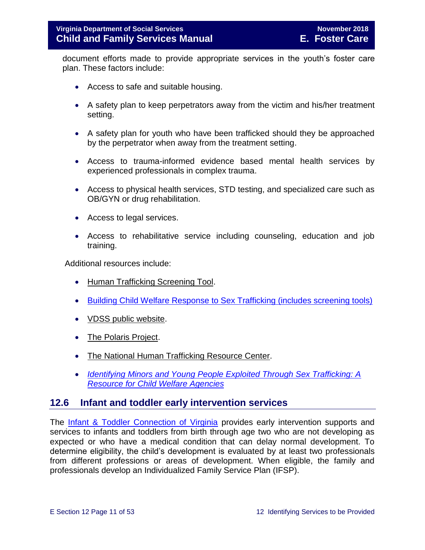document efforts made to provide appropriate services in the youth's foster care plan. These factors include:

- Access to safe and suitable housing.
- A safety plan to keep perpetrators away from the victim and his/her treatment setting.
- A safety plan for youth who have been trafficked should they be approached by the perpetrator when away from the treatment setting.
- Access to trauma-informed evidence based mental health services by experienced professionals in complex trauma.
- Access to physical health services, STD testing, and specialized care such as OB/GYN or drug rehabilitation.
- Access to legal services.
- Access to rehabilitative service including counseling, education and job training.

Additional resources include:

- [Human Trafficking Screening Tool.](http://centerforchildwelfare.fmhi.usf.edu/kb/policymemos/HT_ScreeningTool_FPTraining.pdf)
- [Building Child Welfare Response to Sex Trafficking \(includes screening tools\)](http://www.luc.edu/media/lucedu/chrc/pdfs/BCWRHandbook2011.pdf)
- [VDSS public website.](http://www.dss.virginia.gov/family/fc/index.cgi)
- [The Polaris Project.](http://www.polarisproject.org/about-us/overview)
- [The National Human Trafficking Resource Center.](http://www.traffickingresourcecenter.org/?gclid=CIi1wZa578cCFdQYHwoda9cBkA)
- <span id="page-10-0"></span> *[Identifying Minors and Young People Exploited Through Sex Trafficking: A](https://library.childwelfare.gov/cwig/ws/library/docs/capacity/Blob/106060.pdf?w=NATIVE(%27SIMPLE_SRCH+ph+is+%27%27Identifying+Minors+and+Young+People+Exploited+Through+Sex+Trafficking:+A+Resource+for+Child+Welfare+Agencies%27%27%27)&upp=0&order=native(%27year/Descend%27)&rpp=25&r=1&m=1)  Resource [for Child Welfare Agencies](https://library.childwelfare.gov/cwig/ws/library/docs/capacity/Blob/106060.pdf?w=NATIVE(%27SIMPLE_SRCH+ph+is+%27%27Identifying+Minors+and+Young+People+Exploited+Through+Sex+Trafficking:+A+Resource+for+Child+Welfare+Agencies%27%27%27)&upp=0&order=native(%27year/Descend%27)&rpp=25&r=1&m=1)*

#### **12.6 Infant and toddler early intervention services**

The [Infant & Toddler Connection of Virginia](http://www.infantva.org/fam-SupportServices.htm) provides early intervention supports and services to infants and toddlers from birth through age two who are not developing as expected or who have a medical condition that can delay normal development. To determine eligibility, the child's development is evaluated by at least two professionals from different professions or areas of development. When eligible, the family and professionals develop an Individualized Family Service Plan (IFSP).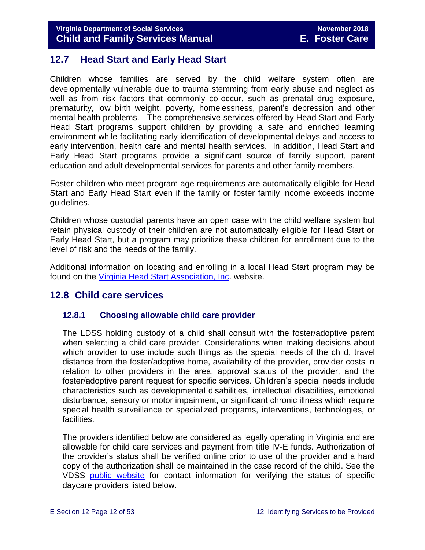## <span id="page-11-0"></span>**12.7 Head Start and Early Head Start**

Children whose families are served by the child welfare system often are developmentally vulnerable due to trauma stemming from early abuse and neglect as well as from risk factors that commonly co-occur, such as prenatal drug exposure, prematurity, low birth weight, poverty, homelessness, parent's depression and other mental health problems. The comprehensive services offered by Head Start and Early Head Start programs support children by providing a safe and enriched learning environment while facilitating early identification of developmental delays and access to early intervention, health care and mental health services. In addition, Head Start and Early Head Start programs provide a significant source of family support, parent education and adult developmental services for parents and other family members.

Foster children who meet program age requirements are automatically eligible for Head Start and Early Head Start even if the family or foster family income exceeds income guidelines.

Children whose custodial parents have an open case with the child welfare system but retain physical custody of their children are not automatically eligible for Head Start or Early Head Start, but a program may prioritize these children for enrollment due to the level of risk and the needs of the family.

Additional information on locating and enrolling in a local Head Start program may be found on the [Virginia Head Start Association, Inc.](http://www.headstartva.org/index.php) website.

## <span id="page-11-1"></span>**12.8 Child care services**

#### <span id="page-11-2"></span>**12.8.1 Choosing allowable child care provider**

The LDSS holding custody of a child shall consult with the foster/adoptive parent when selecting a child care provider. Considerations when making decisions about which provider to use include such things as the special needs of the child, travel distance from the foster/adoptive home, availability of the provider, provider costs in relation to other providers in the area, approval status of the provider, and the foster/adoptive parent request for specific services. Children's special needs include characteristics such as developmental disabilities, intellectual disabilities, emotional disturbance, sensory or motor impairment, or significant chronic illness which require special health surveillance or specialized programs, interventions, technologies, or facilities.

The providers identified below are considered as legally operating in Virginia and are allowable for child care services and payment from title IV-E funds. Authorization of the provider's status shall be verified online prior to use of the provider and a hard copy of the authorization shall be maintained in the case record of the child. See the VDSS [public website](http://www.dss.virginia.gov/family/cc/index.cgi) for contact information for verifying the status of specific daycare providers listed below.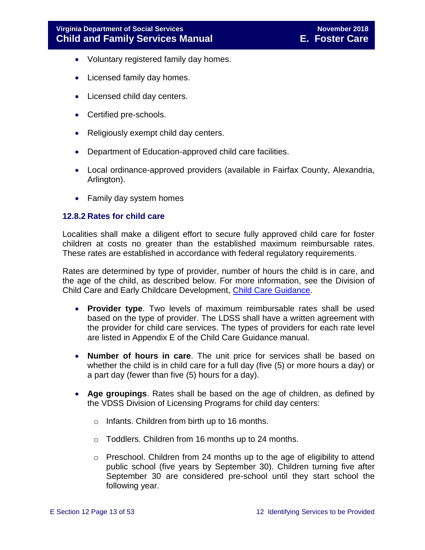- Voluntary registered family day homes.
- Licensed family day homes.
- Licensed child day centers.
- Certified pre-schools.
- Religiously exempt child day centers.
- Department of Education-approved child care facilities.
- Local ordinance-approved providers (available in Fairfax County, Alexandria, Arlington).
- Family day system homes

#### <span id="page-12-0"></span>**12.8.2 Rates for child care**

Localities shall make a diligent effort to secure fully approved child care for foster children at costs no greater than the established maximum reimbursable rates. These rates are established in accordance with federal regulatory requirements.

Rates are determined by type of provider, number of hours the child is in care, and the age of the child, as described below. For more information, see the Division of Child Care and Early Childcare Development, [Child Care Guidance.](http://spark.dss.virginia.gov/divisions/cc/manuals.cgi)

- **Provider type**. Two levels of maximum reimbursable rates shall be used based on the type of provider. The LDSS shall have a written agreement with the provider for child care services. The types of providers for each rate level are listed in Appendix E of the Child Care Guidance manual.
- **Number of hours in care**. The unit price for services shall be based on whether the child is in child care for a full day (five (5) or more hours a day) or a part day (fewer than five (5) hours for a day).
- **Age groupings**. Rates shall be based on the age of children, as defined by the VDSS Division of Licensing Programs for child day centers:
	- o Infants. Children from birth up to 16 months.
	- o Toddlers. Children from 16 months up to 24 months.
	- $\circ$  Preschool. Children from 24 months up to the age of eligibility to attend public school (five years by September 30). Children turning five after September 30 are considered pre-school until they start school the following year.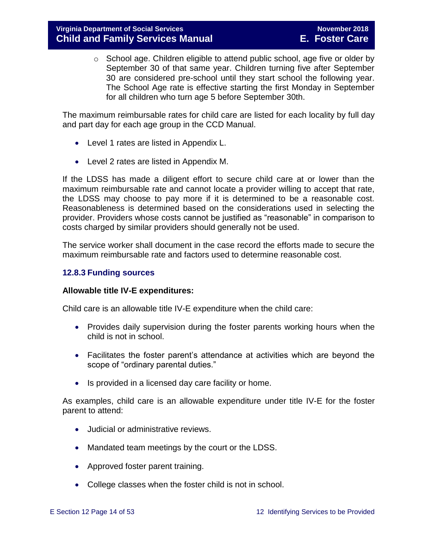o School age. Children eligible to attend public school, age five or older by September 30 of that same year. Children turning five after September 30 are considered pre-school until they start school the following year. The School Age rate is effective starting the first Monday in September for all children who turn age 5 before September 30th.

The maximum reimbursable rates for child care are listed for each locality by full day and part day for each age group in the CCD Manual.

- Level 1 rates are listed in Appendix L.
- Level 2 rates are listed in Appendix M.

If the LDSS has made a diligent effort to secure child care at or lower than the maximum reimbursable rate and cannot locate a provider willing to accept that rate, the LDSS may choose to pay more if it is determined to be a reasonable cost. Reasonableness is determined based on the considerations used in selecting the provider. Providers whose costs cannot be justified as "reasonable" in comparison to costs charged by similar providers should generally not be used.

The service worker shall document in the case record the efforts made to secure the maximum reimbursable rate and factors used to determine reasonable cost.

### <span id="page-13-0"></span>**12.8.3 Funding sources**

#### **Allowable title IV-E expenditures:**

Child care is an allowable title IV-E expenditure when the child care:

- Provides daily supervision during the foster parents working hours when the child is not in school.
- Facilitates the foster parent's attendance at activities which are beyond the scope of "ordinary parental duties."
- Is provided in a licensed day care facility or home.

As examples, child care is an allowable expenditure under title IV-E for the foster parent to attend:

- **.** Judicial or administrative reviews.
- Mandated team meetings by the court or the LDSS.
- Approved foster parent training.
- College classes when the foster child is not in school.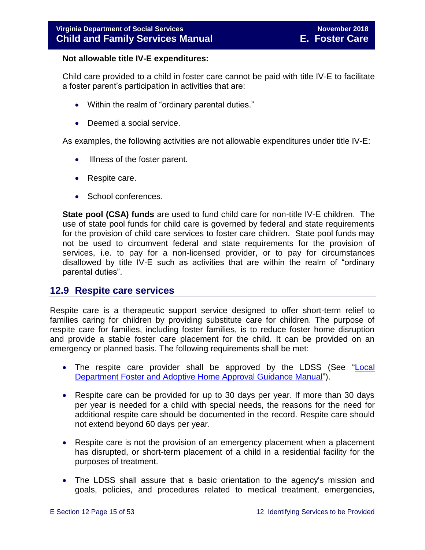#### **Not allowable title IV-E expenditures:**

Child care provided to a child in foster care cannot be paid with title IV-E to facilitate a foster parent's participation in activities that are:

- Within the realm of "ordinary parental duties."
- Deemed a social service.

As examples, the following activities are not allowable expenditures under title IV-E:

- Illness of the foster parent.
- Respite care.
- School conferences.

**State pool (CSA) funds** are used to fund child care for non-title IV-E children. The use of state pool funds for child care is governed by federal and state requirements for the provision of child care services to foster care children. State pool funds may not be used to circumvent federal and state requirements for the provision of services, i.e. to pay for a non-licensed provider, or to pay for circumstances disallowed by title IV-E such as activities that are within the realm of "ordinary parental duties".

### <span id="page-14-0"></span>**12.9 Respite care services**

Respite care is a therapeutic support service designed to offer short-term relief to families caring for children by providing substitute care for children. The purpose of respite care for families, including foster families, is to reduce foster home disruption and provide a stable foster care placement for the child. It can be provided on an emergency or planned basis. The following requirements shall be met:

- The respite care provider shall be approved by the LDSS (See ["Local](http://www.dss.virginia.gov/files/division/dfs/fc/intro_page/guidance_manuals/other/gudiance_2_13.pdf)  Department [Foster and Adoptive Home Approval Guidance Manual"](http://www.dss.virginia.gov/files/division/dfs/fc/intro_page/guidance_manuals/other/gudiance_2_13.pdf)).
- Respite care can be provided for up to 30 days per year. If more than 30 days per year is needed for a child with special needs, the reasons for the need for additional respite care should be documented in the record. Respite care should not extend beyond 60 days per year.
- Respite care is not the provision of an emergency placement when a placement has disrupted, or short-term placement of a child in a residential facility for the purposes of treatment.
- The LDSS shall assure that a basic orientation to the agency's mission and goals, policies, and procedures related to medical treatment, emergencies,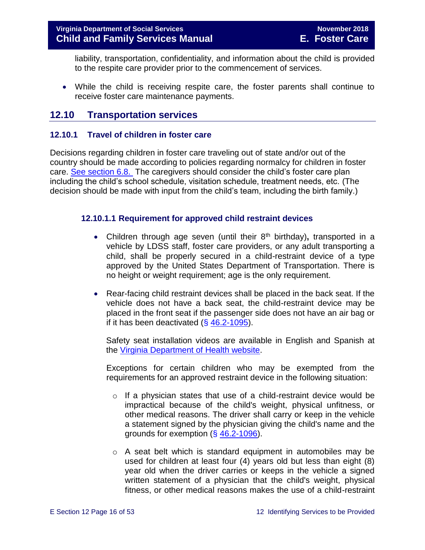liability, transportation, confidentiality, and information about the child is provided to the respite care provider prior to the commencement of services.

 While the child is receiving respite care, the foster parents shall continue to receive foster care maintenance payments.

## <span id="page-15-0"></span>**12.10 Transportation services**

#### <span id="page-15-1"></span>**12.10.1 Travel of children in foster care**

Decisions regarding children in foster care traveling out of state and/or out of the country should be made according to policies regarding normalcy for children in foster care. [See section 6.8.](file://///Vaultcelerra.co.dss.state.va.us/Workgroup/Family_Services/DFS%20Child%20and%20Family%20Services%20Manual/E.%20Foster%20Care/Foster%20Care%20June%202017/section_6_placement_to_achieve_permanency.draft.docx) The caregivers should consider the child's foster care plan including the child's school schedule, visitation schedule, treatment needs, etc. (The decision should be made with input from the child's team, including the birth family.)

#### **12.10.1.1 Requirement for approved child restraint devices**

- Children through age seven (until their 8<sup>th</sup> birthday), transported in a vehicle by LDSS staff, foster care providers, or any adult transporting a child, shall be properly secured in a child-restraint device of a type approved by the United States Department of Transportation. There is no height or weight requirement; age is the only requirement.
- Rear-facing child restraint devices shall be placed in the back seat. If the vehicle does not have a back seat, the child-restraint device may be placed in the front seat if the passenger side does not have an air bag or if it has been deactivated  $(\S$  [46.2-1095\)](http://law.lis.virginia.gov/vacode/title46.2/chapter10/section46.2-1095/).

Safety seat installation videos are available in English and Spanish at the [Virginia Department of Health website.](http://www.vahealth.org/injury/safetyseat/laws.htm)

Exceptions for certain children who may be exempted from the requirements for an approved restraint device in the following situation:

- $\circ$  If a physician states that use of a child-restraint device would be impractical because of the child's weight, physical unfitness, or other medical reasons. The driver shall carry or keep in the vehicle a statement signed by the physician giving the child's name and the grounds for exemption (§ [46.2-1096\)](http://law.lis.virginia.gov/vacode/46.2-1096/).
- o A seat belt which is standard equipment in automobiles may be used for children at least four (4) years old but less than eight (8) year old when the driver carries or keeps in the vehicle a signed written statement of a physician that the child's weight, physical fitness, or other medical reasons makes the use of a child-restraint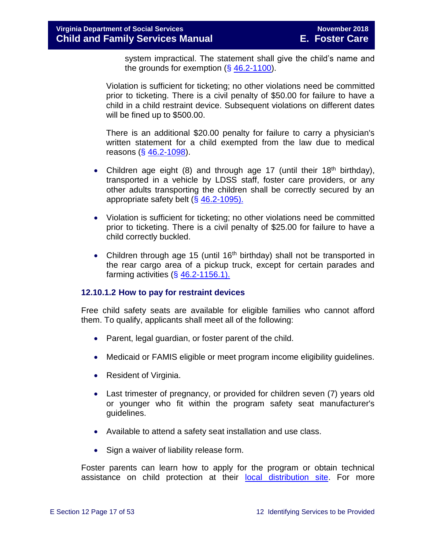system impractical. The statement shall give the child's name and the grounds for exemption  $(\S 46.2-1100)$  $(\S 46.2-1100)$ .

Violation is sufficient for ticketing; no other violations need be committed prior to ticketing. There is a civil penalty of \$50.00 for failure to have a child in a child restraint device. Subsequent violations on different dates will be fined up to \$500.00.

There is an additional \$20.00 penalty for failure to carry a physician's written statement for a child exempted from the law due to medical reasons (§ [46.2-1098\)](http://law.lis.virginia.gov/vacode/46.2-1098/).

- Children age eight (8) and through age 17 (until their 18<sup>th</sup> birthday), transported in a vehicle by LDSS staff, foster care providers, or any other adults transporting the children shall be correctly secured by an appropriate safety belt (§ [46.2-1095\).](http://law.lis.virginia.gov/vacode/46.2-1095/)
- Violation is sufficient for ticketing; no other violations need be committed prior to ticketing. There is a civil penalty of \$25.00 for failure to have a child correctly buckled.
- Children through age 15 (until 16<sup>th</sup> birthday) shall not be transported in the rear cargo area of a pickup truck, except for certain parades and farming activities  $( $\S$  46.2-1156.1).$  $( $\S$  46.2-1156.1).$

#### **12.10.1.2 How to pay for restraint devices**

Free child safety seats are available for eligible families who cannot afford them. To qualify, applicants shall meet all of the following:

- Parent, legal guardian, or foster parent of the child.
- Medicaid or FAMIS eligible or meet program [income eligibility guidelines.](http://www.vahealth.org/Injury/safetyseat/documents/2008/pdf/Income%20Guidelines%20Current.pdf)
- Resident of Virginia.
- Last trimester of pregnancy, or provided for children seven (7) years old or younger who fit within the program safety seat manufacturer's guidelines.
- Available to attend a safety seat installation and use class.
- Sign a waiver of liability release form.

Foster parents can learn how to apply for the program or obtain technical assistance on child protection at their [local distribution site.](http://www.vahealth.org/Injury/safetyseat/) For more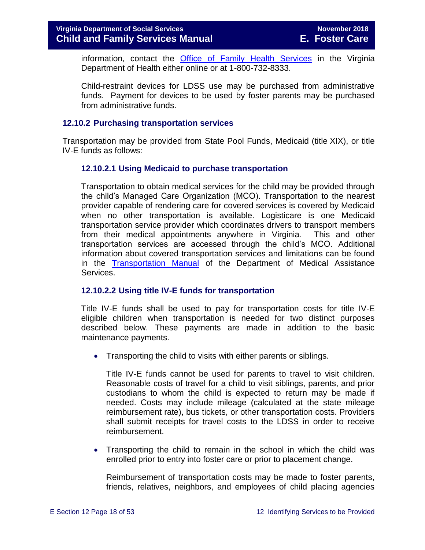information, contact the [Office of Family Health Services](http://www.vdh.virginia.gov/ofhs/) in the Virginia Department of Health either online or at 1-800-732-8333.

Child-restraint devices for LDSS use may be purchased from administrative funds. Payment for devices to be used by foster parents may be purchased from administrative funds.

#### <span id="page-17-0"></span>**12.10.2 Purchasing transportation services**

Transportation may be provided from State Pool Funds, Medicaid (title XIX), or title IV-E funds as follows:

#### **12.10.2.1 Using Medicaid to purchase transportation**

Transportation to obtain medical services for the child may be provided through the child's Managed Care Organization (MCO). Transportation to the nearest provider capable of rendering care for covered services is covered by Medicaid when no other transportation is available. Logisticare is one Medicaid transportation service provider which coordinates drivers to transport members from their medical appointments anywhere in Virginia. This and other transportation services are accessed through the child's MCO. Additional information about covered transportation services and limitations can be found in the **[Transportation Manual](http://transportation.dmas.virginia.gov/Home.aspx)** of the Department of Medical Assistance Services.

#### **12.10.2.2 Using title IV-E funds for transportation**

Title IV-E funds shall be used to pay for transportation costs for title IV-E eligible children when transportation is needed for two distinct purposes described below. These payments are made in addition to the basic maintenance payments.

• Transporting the child to visits with either parents or siblings.

Title IV-E funds cannot be used for parents to travel to visit children. Reasonable costs of travel for a child to visit siblings, parents, and prior custodians to whom the child is expected to return may be made if needed. Costs may include mileage (calculated at the state mileage reimbursement rate), bus tickets, or other transportation costs. Providers shall submit receipts for travel costs to the LDSS in order to receive reimbursement.

 Transporting the child to remain in the school in which the child was enrolled prior to entry into foster care or prior to placement change.

Reimbursement of transportation costs may be made to foster parents, friends, relatives, neighbors, and employees of child placing agencies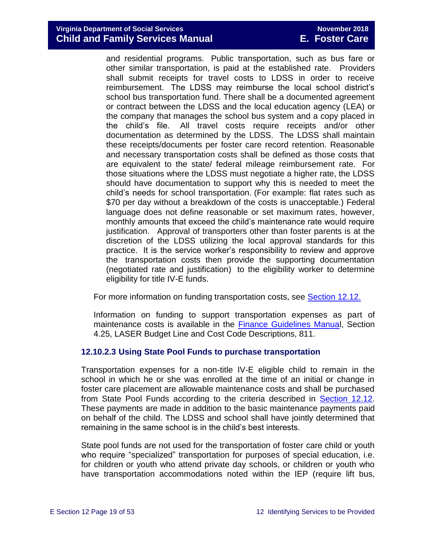and residential programs. Public transportation, such as bus fare or other similar transportation, is paid at the established rate. Providers shall submit receipts for travel costs to LDSS in order to receive reimbursement. The LDSS may reimburse the local school district's school bus transportation fund. There shall be a documented agreement or contract between the LDSS and the local education agency (LEA) or the company that manages the school bus system and a copy placed in the child's file. All travel costs require receipts and/or other documentation as determined by the LDSS. The LDSS shall maintain these receipts/documents per foster care record retention. Reasonable and necessary transportation costs shall be defined as those costs that are equivalent to the state/ federal mileage reimbursement rate. For those situations where the LDSS must negotiate a higher rate, the LDSS should have documentation to support why this is needed to meet the child's needs for school transportation. (For example: flat rates such as \$70 per day without a breakdown of the costs is unacceptable.) Federal language does not define reasonable or set maximum rates, however, monthly amounts that exceed the child's maintenance rate would require justification. Approval of transporters other than foster parents is at the discretion of the LDSS utilizing the local approval standards for this practice. It is the service worker's responsibility to review and approve the transportation costs then provide the supporting documentation (negotiated rate and justification) to the eligibility worker to determine eligibility for title IV-E funds.

For more information on funding transportation costs, see **Section 12.12.** 

Information on funding to support transportation expenses as part of maintenance costs is available in the [Finance Guidelines Manual](http://spark.dss.virginia.gov/divisions/dof/files/local_support/laser/intro_page/guidance_procedures/budget_lines/811_IV-E_-AFDC_Foster_Care.pdf), Section 4.25, LASER Budget Line and Cost Code Descriptions, 811.

#### **12.10.2.3 Using State Pool Funds to purchase transportation**

Transportation expenses for a non-title IV-E eligible child to remain in the school in which he or she was enrolled at the time of an initial or change in foster care placement are allowable maintenance costs and shall be purchased from State Pool Funds according to the criteria described in [Section 12.12.](#page-42-1) These payments are made in addition to the basic maintenance payments paid on behalf of the child. The LDSS and school shall have jointly determined that remaining in the same school is in the child's best interests.

State pool funds are not used for the transportation of foster care child or youth who require "specialized" transportation for purposes of special education, i.e. for children or youth who attend private day schools, or children or youth who have transportation accommodations noted within the IEP (require lift bus,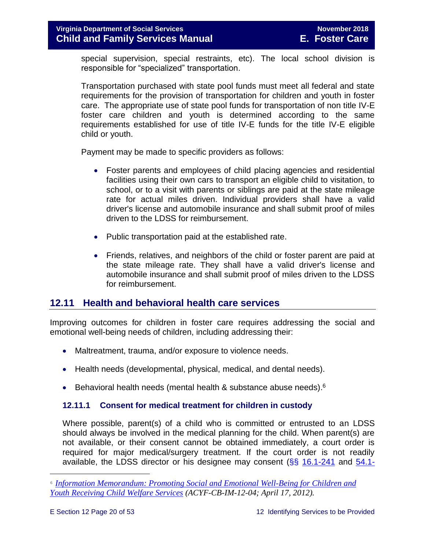special supervision, special restraints, etc). The local school division is responsible for "specialized" transportation.

Transportation purchased with state pool funds must meet all federal and state requirements for the provision of transportation for children and youth in foster care. The appropriate use of state pool funds for transportation of non title IV-E foster care children and youth is determined according to the same requirements established for use of title IV-E funds for the title IV-E eligible child or youth.

Payment may be made to specific providers as follows:

- Foster parents and employees of child placing agencies and residential facilities using their own cars to transport an eligible child to visitation, to school, or to a visit with parents or siblings are paid at the state mileage rate for actual miles driven. Individual providers shall have a valid driver's license and automobile insurance and shall submit proof of miles driven to the LDSS for reimbursement.
- Public transportation paid at the established rate.
- Friends, relatives, and neighbors of the child or foster parent are paid at the state mileage rate. They shall have a valid driver's license and automobile insurance and shall submit proof of miles driven to the LDSS for reimbursement.

## <span id="page-19-0"></span>**12.11 Health and behavioral health care services**

Improving outcomes for children in foster care requires addressing the social and emotional well-being needs of children, including addressing their:

- Maltreatment, trauma, and/or exposure to violence needs.
- Health needs (developmental, physical, medical, and dental needs).
- **Behavioral health needs (mental health & substance abuse needs).**<sup>6</sup>

#### <span id="page-19-1"></span>**12.11.1 Consent for medical treatment for children in custody**

Where possible, parent(s) of a child who is committed or entrusted to an LDSS should always be involved in the medical planning for the child. When parent(s) are not available, or their consent cannot be obtained immediately, a court order is required for major medical/surgery treatment. If the court order is not readily available, the LDSS director or his designee may consent  $(\S_{\S}$  [16.1-241](http://law.lis.virginia.gov/vacode/16.1-241/) and [54.1-](http://law.lis.virginia.gov/vacode/54.1-2969/)

<sup>6</sup> *[Information Memorandum: Promoting Social and Emotional Well-Being for Children and](http://www.acf.hhs.gov/sites/default/files/cb/im1204.pdf)  [Youth Receiving Child Welfare Services](http://www.acf.hhs.gov/sites/default/files/cb/im1204.pdf) (ACYF-CB-IM-12-04; April 17, 2012).*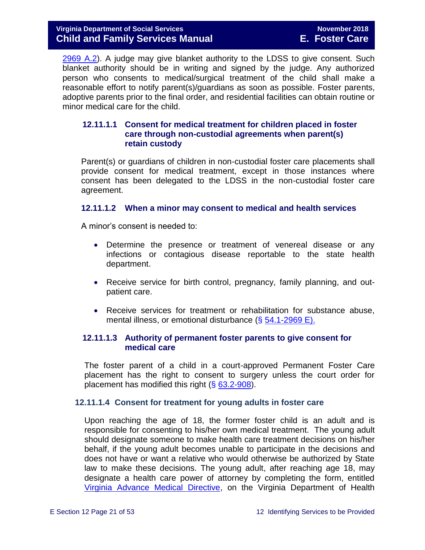[2969 A.2\)](http://law.lis.virginia.gov/vacode/54.1-2969/). A judge may give blanket authority to the LDSS to give consent. Such blanket authority should be in writing and signed by the judge. Any authorized person who consents to medical/surgical treatment of the child shall make a reasonable effort to notify parent(s)/guardians as soon as possible. Foster parents, adoptive parents prior to the final order, and residential facilities can obtain routine or minor medical care for the child.

#### **12.11.1.1 Consent for medical treatment for children placed in foster care through non-custodial agreements when parent(s) retain custody**

Parent(s) or guardians of children in non-custodial foster care placements shall provide consent for medical treatment, except in those instances where consent has been delegated to the LDSS in the non-custodial foster care agreement.

#### **12.11.1.2 When a minor may consent to medical and health services**

A minor's consent is needed to:

- Determine the presence or treatment of venereal disease or any infections or contagious disease reportable to the state health department.
- Receive service for birth control, pregnancy, family planning, and outpatient care.
- Receive services for treatment or rehabilitation for substance abuse, mental illness, or emotional disturbance (§ [54.1-2969 E\).](http://law.lis.virginia.gov/vacode/54.1-2969/)

#### **12.11.1.3 Authority of permanent foster parents to give consent for medical care**

The foster parent of a child in a court-approved Permanent Foster Care placement has the right to consent to surgery unless the court order for placement has modified this right (§ [63.2-908\)](http://law.lis.virginia.gov/vacode/63.2-908/).

#### **12.11.1.4 Consent for treatment for young adults in foster care**

Upon reaching the age of 18, the former foster child is an adult and is responsible for consenting to his/her own medical treatment. The young adult should designate someone to make health care treatment decisions on his/her behalf, if the young adult becomes unable to participate in the decisions and does not have or want a relative who would otherwise be authorized by State law to make these decisions. The young adult, after reaching age 18, may designate a health care power of attorney by completing the form, entitled [Virginia Advance Medical Directive,](http://www.vdh.virginia.gov/OLC/documents/2008/pdfs/2005%20advanced%20directive%20form.pdf) on the Virginia Department of Health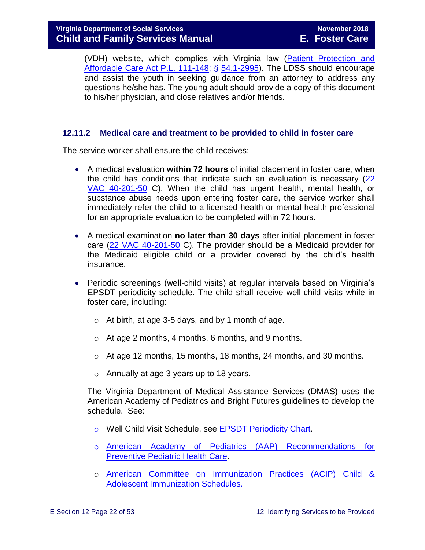(VDH) website, which complies with Virginia law [\(Patient Protection and](http://www.gpo.gov/fdsys/pkg/PLAW-111publ148/pdf/PLAW-111publ148.pdf)  [Affordable Care Act P.L. 111-148;](http://www.gpo.gov/fdsys/pkg/PLAW-111publ148/pdf/PLAW-111publ148.pdf) § [54.1-2995\)](http://law.lis.virginia.gov/vacode/54.1-2995/). The LDSS should encourage and assist the youth in seeking guidance from an attorney to address any questions he/she has. The young adult should provide a copy of this document to his/her physician, and close relatives and/or friends.

#### <span id="page-21-0"></span>**12.11.2 Medical care and treatment to be provided to child in foster care**

The service worker shall ensure the child receives:

- A medical evaluation **within 72 hours** of initial placement in foster care, when the child has conditions that indicate such an evaluation is necessary [\(22](http://leg1.state.va.us/cgi-bin/legp504.exe?000+reg+22VAC40-201-50)  [VAC 40-201-50](http://leg1.state.va.us/cgi-bin/legp504.exe?000+reg+22VAC40-201-50) C). When the child has urgent health, mental health, or substance abuse needs upon entering foster care, the service worker shall immediately refer the child to a licensed health or mental health professional for an appropriate evaluation to be completed within 72 hours.
- A medical examination **no later than 30 days** after initial placement in foster care [\(22 VAC 40-201-50](http://leg1.state.va.us/cgi-bin/legp504.exe?000+reg+22VAC40-201-50) C). The provider should be a Medicaid provider for the Medicaid eligible child or a provider covered by the child's health insurance.
- Periodic screenings (well-child visits) at regular intervals based on Virginia's EPSDT periodicity schedule. The child shall receive well-child visits while in foster care, including:
	- $\circ$  At birth, at age 3-5 days, and by 1 month of age.
	- o At age 2 months, 4 months, 6 months, and 9 months.
	- $\circ$  At age 12 months, 15 months, 18 months, 24 months, and 30 months.
	- o Annually at age 3 years up to 18 years.

The Virginia Department of Medical Assistance Services (DMAS) uses the American Academy of Pediatrics and Bright Futures guidelines to develop the schedule. See:

- o Well Child Visit Schedule, see [EPSDT Periodicity Chart.](http://www.dmas.virginia.gov/Content_atchs/mch/mch-epsdt_poi2.pdf)
- o [American Academy of Pediatrics \(AAP\) Recommendations for](http://pediatrics.aappublications.org/cgi/data/120/6/1376/DC1/1)  [Preventive Pediatric Health Care.](http://pediatrics.aappublications.org/cgi/data/120/6/1376/DC1/1)
- o [American Committee on Immunization Practices \(ACIP\) Child &](http://www.cdc.gov/vaccines/schedules/index.html)  [Adolescent Immunization Schedules.](http://www.cdc.gov/vaccines/schedules/index.html)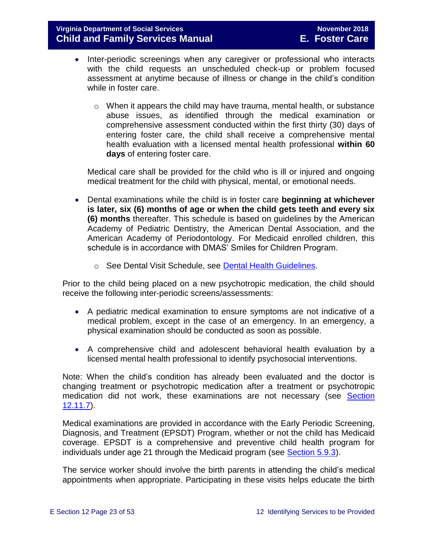- Inter-periodic screenings when any caregiver or professional who interacts with the child requests an unscheduled check-up or problem focused assessment at anytime because of illness or change in the child's condition while in foster care.
	- $\circ$  When it appears the child may have trauma, mental health, or substance abuse issues, as identified through the medical examination or comprehensive assessment conducted within the first thirty (30) days of entering foster care, the child shall receive a comprehensive mental health evaluation with a licensed mental health professional **within 60 days** of entering foster care.

Medical care shall be provided for the child who is ill or injured and ongoing medical treatment for the child with physical, mental, or emotional needs.

- Dental examinations while the child is in foster care **beginning at whichever is later, six (6) months of age or when the child gets teeth and every six (6) months** thereafter. This schedule is based on guidelines by the American Academy of Pediatric Dentistry, the American Dental Association, and the American Academy of Periodontology. For Medicaid enrolled children, this schedule is in accordance with DMAS' Smiles for Children Program.
	- o See Dental Visit Schedule, see [Dental Health Guidelines.](http://www.dmas.virginia.gov/Content_atchs/dnt/dnt-schdl.pdf)

Prior to the child being placed on a new psychotropic medication, the child should receive the following inter-periodic screens/assessments:

- A pediatric medical examination to ensure symptoms are not indicative of a medical problem, except in the case of an emergency. In an emergency, a physical examination should be conducted as soon as possible.
- A comprehensive child and adolescent behavioral health evaluation by a licensed mental health professional to identify psychosocial interventions.

Note: When the child's condition has already been evaluated and the doctor is changing treatment or psychotropic medication after a treatment or psychotropic medication did not work, these examinations are not necessary (see Section [12.11.7\)](#page-37-0).

Medical examinations are provided in accordance with the Early Periodic Screening, Diagnosis, and Treatment (EPSDT) Program, whether or not the child has Medicaid coverage. EPSDT is a comprehensive and preventive child health program for individuals under age 21 through the Medicaid program (see [Section 5.9.3\)](file://///Vaultcelerra.co.dss.state.va.us/Workgroup/Family_Services/DFS%20Child%20and%20Family%20Services%20Manual/E.%20Foster%20Care/Foster%20Care%20June%202017/section_5_conducting_child_and_family_assessment.docx).

The service worker should involve the birth parents in attending the child's medical appointments when appropriate. Participating in these visits helps educate the birth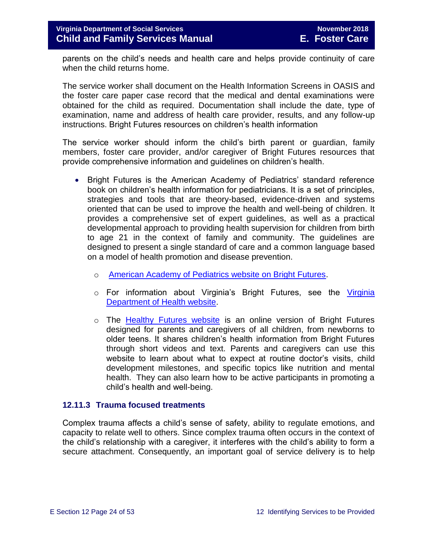parents on the child's needs and health care and helps provide continuity of care when the child returns home.

The service worker shall document on the Health Information Screens in OASIS and the foster care paper case record that the medical and dental examinations were obtained for the child as required. Documentation shall include the date, type of examination, name and address of health care provider, results, and any follow-up instructions. Bright Futures resources on children's health information

The service worker should inform the child's birth parent or guardian, family members, foster care provider, and/or caregiver of Bright Futures resources that provide comprehensive information and guidelines on children's health.

- Bright Futures is the American Academy of Pediatrics' standard reference book on children's health information for pediatricians. It is a set of principles, strategies and tools that are theory-based, evidence-driven and systems oriented that can be used to improve the health and well-being of children. It provides a comprehensive set of expert guidelines, as well as a practical developmental approach to providing health supervision for children from birth to age 21 in the context of family and community. The guidelines are designed to present a single standard of care and a common language based on a model of health promotion and disease prevention.
	- o [American Academy of Pediatrics website on Bright Futures.](https://brightfutures.aap.org/Pages/default.aspx)
	- o For information about Virginia's Bright Futures, see the [Virginia](http://www.vahealth.org/Brightfutures/index.htm)  [Department of Health website.](http://www.vahealth.org/Brightfutures/index.htm)
	- $\circ$  The [Healthy Futures website](https://www.vdh.virginia.gov/brightfutures/default.html) is an online version of Bright Futures designed for parents and caregivers of all children, from newborns to older teens. It shares children's health information from Bright Futures through short videos and text. Parents and caregivers can use this website to learn about what to expect at routine doctor's visits, child development milestones, and specific topics like nutrition and mental health. They can also learn how to be active participants in promoting a child's health and well-being.

#### <span id="page-23-0"></span>**12.11.3 Trauma focused treatments**

Complex trauma affects a child's sense of safety, ability to regulate emotions, and capacity to relate well to others. Since complex trauma often occurs in the context of the child's relationship with a caregiver, it interferes with the child's ability to form a secure attachment. Consequently, an important goal of service delivery is to help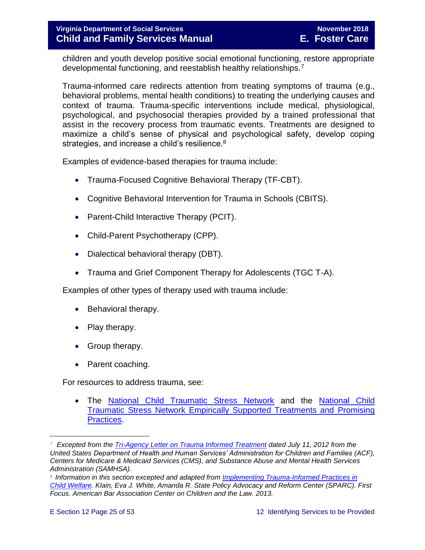children and youth develop positive social emotional functioning, restore appropriate developmental functioning, and reestablish healthy relationships.<sup>7</sup>

Trauma-informed care redirects attention from treating symptoms of trauma (e.g., behavioral problems, mental health conditions) to treating the underlying causes and context of trauma. Trauma-specific interventions include medical, physiological, psychological, and psychosocial therapies provided by a trained professional that assist in the recovery process from traumatic events. Treatments are designed to maximize a child's sense of physical and psychological safety, develop coping strategies, and increase a child's resilience.<sup>8</sup>

Examples of evidence-based therapies for trauma include:

- Trauma-Focused Cognitive Behavioral Therapy (TF-CBT).
- Cognitive Behavioral Intervention for Trauma in Schools (CBITS).
- Parent-Child Interactive Therapy (PCIT).
- Child-Parent Psychotherapy (CPP).
- Dialectical behavioral therapy (DBT).
- Trauma and Grief Component Therapy for Adolescents (TGC T-A).

Examples of other types of therapy used with trauma include:

- Behavioral therapy.
- Play therapy.
- Group therapy.
- Parent coaching.

For resources to address trauma, see:

 The [National Child Traumatic Stress Network](http://www.nctsn.org/) and the [National Child](http://www.nctsn.org/resources/topics/treatments-that-work/promising-practices)  [Traumatic Stress Network Empirically Supported Treatments and Promising](http://www.nctsn.org/resources/topics/treatments-that-work/promising-practices)  [Practices.](http://www.nctsn.org/resources/topics/treatments-that-work/promising-practices)

<sup>7</sup> *Excepted from the [Tri-Agency Letter on Trauma Informed Treatment](http://www.medicaid.gov/Federal-Policy-Guidance/Downloads/SMD-13-07-11.pdf) dated July 11, 2012 from the United States Department of Health and Human Services' Administration for Children and Families (ACF), Centers for Medicare & Medicaid Services (CMS), and Substance Abuse and Mental Health Services Administration (SAMHSA).*

<sup>8</sup> Information in this section excepted and adapted from *Implementing Trauma-Informed Practices in [Child Welfare.](http://childwelfaresparc.org/wp-content/uploads/2013/11/Implementing-Trauma-Informed-Practices.pdf) Klain, Eva J. White, Amanda R. State Policy Advocacy and Reform Center (SPARC). First Focus. American Bar Association Center on Children and the Law. 2013.*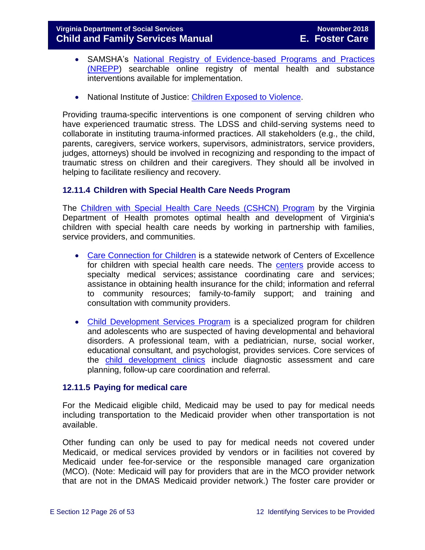- SAMSHA's [National Registry of Evidence-based Programs and Practices](https://www.samhsa.gov/nrepp)  [\(NREPP\)](https://www.samhsa.gov/nrepp) searchable online registry of mental health and substance interventions available for implementation.
- National Institute of Justice: [Children Exposed to Violence.](https://www.crimesolutions.gov/TopicDetails.aspx?ID=60)

Providing trauma-specific interventions is one component of serving children who have experienced traumatic stress. The LDSS and child-serving systems need to collaborate in instituting trauma-informed practices. All stakeholders (e.g., the child, parents, caregivers, service workers, supervisors, administrators, service providers, judges, attorneys) should be involved in recognizing and responding to the impact of traumatic stress on children and their caregivers. They should all be involved in helping to facilitate resiliency and recovery.

#### <span id="page-25-0"></span>**12.11.4 Children with Special Health Care Needs Program**

The [Children with Special Health Care Needs \(CSHCN\) Program](http://www.vahealth.org/specialchildren/) by the Virginia Department of Health promotes optimal health and development of Virginia's children with special health care needs by working in partnership with families, service providers, and communities.

- [Care Connection for Children](http://www.vdh.virginia.gov/ofhs/childandfamily/childhealth/cshcn/care.htm) is a statewide network of Centers of Excellence for children with special health care needs. The [centers](http://www.vdh.virginia.gov/ofhs/childandfamily/childhealth/cshcn/documents/2012/pdf/City-County%20Map%20oct-10%20CCC%20Centers%20with%20phone%20numbers.pdf) provide access to specialty medical services; assistance coordinating care and services; assistance in obtaining health insurance for the child; information and referral to community resources; family-to-family support; and training and consultation with community providers.
- [Child Development Services Program](http://www.vdh.virginia.gov/ofhs/childandfamily/childhealth/cshcn/developmentServices.htm) is a specialized program for children and adolescents who are suspected of having developmental and behavioral disorders. A professional team, with a pediatrician, nurse, social worker, educational consultant, and psychologist, provides services. Core services of the [child development clinics](http://www.vdh.virginia.gov/ofhs/childandfamily/childhealth/cshcn/cdsClinics.htm) include diagnostic assessment and care planning, follow-up care coordination and referral.

#### <span id="page-25-1"></span>**12.11.5 Paying for medical care**

For the Medicaid eligible child, Medicaid may be used to pay for medical needs including transportation to the Medicaid provider when other transportation is not available.

Other funding can only be used to pay for medical needs not covered under Medicaid, or medical services provided by vendors or in facilities not covered by Medicaid under fee-for-service or the responsible managed care organization (MCO). (Note: Medicaid will pay for providers that are in the MCO provider network that are not in the DMAS Medicaid provider network.) The foster care provider or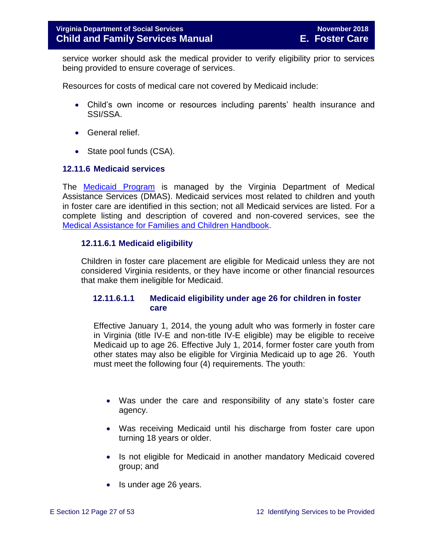service worker should ask the medical provider to verify eligibility prior to services being provided to ensure coverage of services.

Resources for costs of medical care not covered by Medicaid include:

- Child's own income or resources including parents' health insurance and SSI/SSA.
- General relief.
- State pool funds (CSA).

#### <span id="page-26-0"></span>**12.11.6 Medicaid services**

The [Medicaid Program](http://dmasva.dmas.virginia.gov/Content_pgs/rcp-home.aspx) is managed by the Virginia Department of Medical Assistance Services (DMAS). Medicaid services most related to children and youth in foster care are identified in this section; not all Medicaid services are listed. For a complete listing and description of covered and non-covered services, see the [Medical Assistance for Families and Children](http://dmasva.dmas.virginia.gov/Content_atchs/atchs/medbook-eng.pdf) Handbook.

#### **12.11.6.1 Medicaid eligibility**

Children in foster care placement are eligible for Medicaid unless they are not considered Virginia residents, or they have income or other financial resources that make them ineligible for Medicaid.

#### **12.11.6.1.1 Medicaid eligibility under age 26 for children in foster care**

Effective January 1, 2014, the young adult who was formerly in foster care in Virginia (title IV-E and non-title IV-E eligible) may be eligible to receive Medicaid up to age 26. Effective July 1, 2014, former foster care youth from other states may also be eligible for Virginia Medicaid up to age 26. Youth must meet the following four (4) requirements. The youth:

- Was under the care and responsibility of any state's foster care agency.
- Was receiving Medicaid until his discharge from foster care upon turning 18 years or older.
- Is not eligible for Medicaid in another mandatory Medicaid covered group; and
- Is under age 26 years.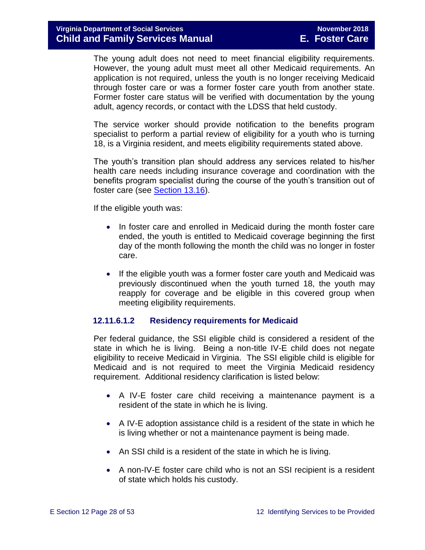The young adult does not need to meet financial eligibility requirements. However, the young adult must meet all other Medicaid requirements. An application is not required, unless the youth is no longer receiving Medicaid through foster care or was a former foster care youth from another state. Former foster care status will be verified with documentation by the young adult, agency records, or contact with the LDSS that held custody.

The service worker should provide notification to the benefits program specialist to perform a partial review of eligibility for a youth who is turning 18, is a Virginia resident, and meets eligibility requirements stated above.

The youth's transition plan should address any services related to his/her health care needs including insurance coverage and coordination with the benefits program specialist during the course of the youth's transition out of foster care (see [Section 13.16\)](file://///Vaultcelerra.co.dss.state.va.us/Workgroup/Family_Services/DFS%20Child%20and%20Family%20Services%20Manual/E.%20Foster%20Care/Foster%20Care%20June%202017/Section_13_achieving_permanency_for_older_youth.docx).

If the eligible youth was:

- In foster care and enrolled in Medicaid during the month foster care ended, the youth is entitled to Medicaid coverage beginning the first day of the month following the month the child was no longer in foster care.
- If the eligible youth was a former foster care youth and Medicaid was previously discontinued when the youth turned 18, the youth may reapply for coverage and be eligible in this covered group when meeting eligibility requirements.

#### **12.11.6.1.2 Residency requirements for Medicaid**

Per federal guidance, the SSI eligible child is considered a resident of the state in which he is living. Being a non-title IV-E child does not negate eligibility to receive Medicaid in Virginia. The SSI eligible child is eligible for Medicaid and is not required to meet the Virginia Medicaid residency requirement. Additional residency clarification is listed below:

- A IV-E foster care child receiving a maintenance payment is a resident of the state in which he is living.
- A IV-E adoption assistance child is a resident of the state in which he is living whether or not a maintenance payment is being made.
- An SSI child is a resident of the state in which he is living.
- A non-IV-E foster care child who is not an SSI recipient is a resident of state which holds his custody.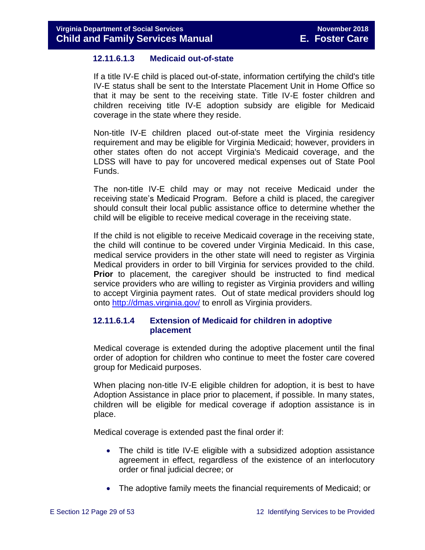#### **12.11.6.1.3 Medicaid out-of-state**

If a title IV-E child is placed out-of-state, information certifying the child's title IV-E status shall be sent to the Interstate Placement Unit in Home Office so that it may be sent to the receiving state. Title IV-E foster children and children receiving title IV-E adoption subsidy are eligible for Medicaid coverage in the state where they reside.

Non-title IV-E children placed out-of-state meet the Virginia residency requirement and may be eligible for Virginia Medicaid; however, providers in other states often do not accept Virginia's Medicaid coverage, and the LDSS will have to pay for uncovered medical expenses out of State Pool Funds.

The non-title IV-E child may or may not receive Medicaid under the receiving state's Medicaid Program. Before a child is placed, the caregiver should consult their local public assistance office to determine whether the child will be eligible to receive medical coverage in the receiving state.

If the child is not eligible to receive Medicaid coverage in the receiving state, the child will continue to be covered under Virginia Medicaid. In this case, medical service providers in the other state will need to register as Virginia Medical providers in order to bill Virginia for services provided to the child. **Prior** to placement, the caregiver should be instructed to find medical service providers who are willing to register as Virginia providers and willing to accept Virginia payment rates. Out of state medical providers should log onto<http://dmas.virginia.gov/> to enroll as Virginia providers.

#### **12.11.6.1.4 Extension of Medicaid for children in adoptive placement**

Medical coverage is extended during the adoptive placement until the final order of adoption for children who continue to meet the foster care covered group for Medicaid purposes.

When placing non-title IV-E eligible children for adoption, it is best to have Adoption Assistance in place prior to placement, if possible. In many states, children will be eligible for medical coverage if adoption assistance is in place.

Medical coverage is extended past the final order if:

- The child is title IV-E eligible with a subsidized adoption assistance agreement in effect, regardless of the existence of an interlocutory order or final judicial decree; or
- The adoptive family meets the financial requirements of Medicaid; or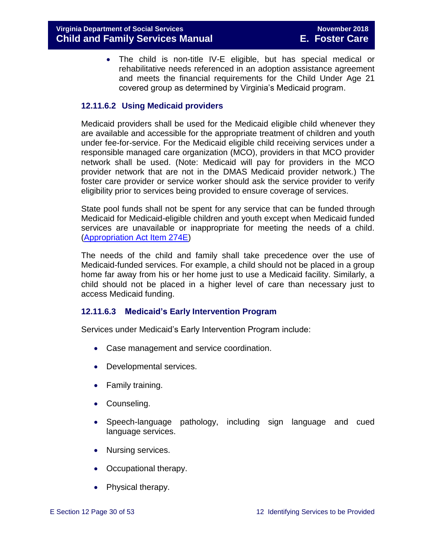The child is non-title IV-E eligible, but has special medical or rehabilitative needs referenced in an adoption assistance agreement and meets the financial requirements for the Child Under Age 21 covered group as determined by Virginia's Medicaid program.

#### **12.11.6.2 Using Medicaid providers**

Medicaid providers shall be used for the Medicaid eligible child whenever they are available and accessible for the appropriate treatment of children and youth under fee-for-service. For the Medicaid eligible child receiving services under a responsible managed care organization (MCO), providers in that MCO provider network shall be used. (Note: Medicaid will pay for providers in the MCO provider network that are not in the DMAS Medicaid provider network.) The foster care provider or service worker should ask the service provider to verify eligibility prior to services being provided to ensure coverage of services.

State pool funds shall not be spent for any service that can be funded through Medicaid for Medicaid-eligible children and youth except when Medicaid funded services are unavailable or inappropriate for meeting the needs of a child. [\(Appropriation Act Item 274E\)](http://lis.virginia.gov/cgi-bin/legp604.exe?111+bud+21-274)

The needs of the child and family shall take precedence over the use of Medicaid-funded services. For example, a child should not be placed in a group home far away from his or her home just to use a Medicaid facility. Similarly, a child should not be placed in a higher level of care than necessary just to access Medicaid funding.

#### **12.11.6.3 Medicaid's Early Intervention Program**

Services under Medicaid's Early Intervention Program include:

- Case management and service coordination.
- Developmental services.
- Family training.
- Counseling.
- Speech-language pathology, including sign language and cued language services.
- Nursing services.
- Occupational therapy.
- Physical therapy.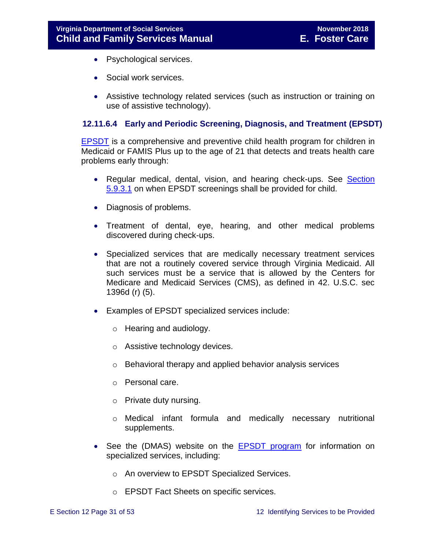- Psychological services.
- Social work services.
- Assistive technology related services (such as instruction or training on use of assistive technology).

#### **12.11.6.4 Early and Periodic Screening, Diagnosis, and Treatment (EPSDT)**

[EPSDT](http://dmasva.dmas.virginia.gov/Content_pgs/mch-home.aspx) is a comprehensive and preventive child health program for children in Medicaid or FAMIS Plus up to the age of 21 that detects and treats health care problems early through:

- Regular medical, dental, vision, and hearing check-ups. See Section [5.9.3.1](file://///Vaultcelerra.co.dss.state.va.us/Workgroup/Family_Services/DFS%20Child%20and%20Family%20Services%20Manual/E.%20Foster%20Care/Foster%20Care%20June%202017/section_5_conducting_child_and_family_assessment.docx) on when EPSDT screenings shall be provided for child.
- Diagnosis of problems.
- Treatment of dental, eye, hearing, and other medical problems discovered during check-ups.
- Specialized services that are medically necessary treatment services that are not a routinely covered service through Virginia Medicaid. All such services must be a service that is allowed by the Centers for Medicare and Medicaid Services (CMS), as defined in 42. U.S.C. sec 1396d (r) (5).
- Examples of EPSDT specialized services include:
	- o Hearing and audiology.
	- o Assistive technology devices.
	- o Behavioral therapy and applied behavior analysis services
	- o Personal care.
	- o Private duty nursing.
	- o Medical infant formula and medically necessary nutritional supplements.
- See the (DMAS) website on the **EPSDT** program for information on specialized services, including:
	- o An overview to EPSDT Specialized Services.
	- o EPSDT Fact Sheets on specific services.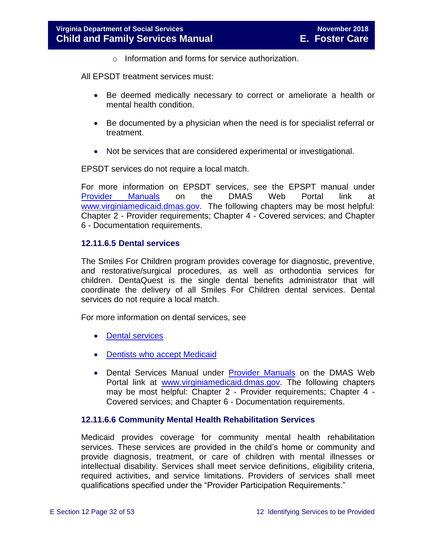$\circ$  Information and forms for service authorization.

All EPSDT treatment services must:

- Be deemed medically necessary to correct or ameliorate a health or mental health condition.
- Be documented by a physician when the need is for specialist referral or treatment.
- Not be services that are considered experimental or investigational.

EPSDT services do not require a local match.

For more information on EPSDT services, see the EPSPT manual under [Provider Manuals](https://www.virginiamedicaid.dmas.virginia.gov/wps/portal/ProviderManual) on the DMAS Web Portal link at [www.virginiamedicaid.dmas.gov.](http://www.virginiamedicaid.dmas.gov/) The following chapters may be most helpful: Chapter 2 - Provider requirements; Chapter 4 - Covered services; and Chapter 6 - Documentation requirements.

#### **12.11.6.5 Dental services**

The Smiles For Children program provides coverage for diagnostic, preventive, and restorative/surgical procedures, as well as orthodontia services for children. DentaQuest is the single dental benefits administrator that will coordinate the delivery of all Smiles For Children dental services. Dental services do not require a local match.

For more information on dental services, see

- [Dental services](http://dmasva.dmas.virginia.gov/Content_pgs/dental-home.aspx)
- [Dentists who accept Medicaid](http://dmasva.dmas.virginia.gov/Content_pgs/dental-home.aspx)
- Dental Services Manual under [Provider Manuals](https://www.virginiamedicaid.dmas.virginia.gov/wps/portal/ProviderManual) on the DMAS Web Portal link at [www.virginiamedicaid.dmas.gov.](http://www.virginiamedicaid.dmas.gov/) The following chapters may be most helpful: Chapter 2 - Provider requirements; Chapter 4 - Covered services; and Chapter 6 - Documentation requirements.

#### **12.11.6.6 Community Mental Health Rehabilitation Services**

Medicaid provides coverage for community mental health rehabilitation services. These services are provided in the child's home or community and provide diagnosis, treatment, or care of children with mental illnesses or intellectual disability. Services shall meet service definitions, eligibility criteria, required activities, and service limitations. Providers of services shall meet qualifications specified under the "Provider Participation Requirements."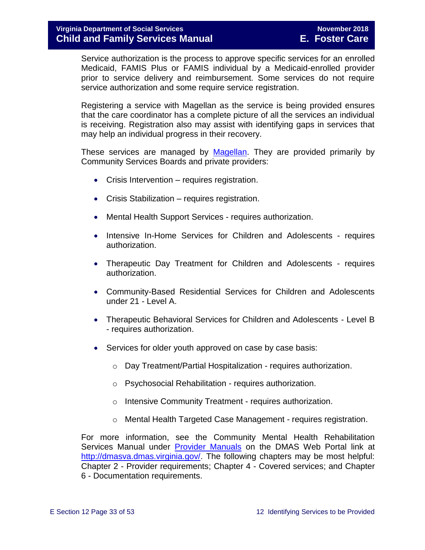Service authorization is the process to approve specific services for an enrolled Medicaid, FAMIS Plus or FAMIS individual by a Medicaid-enrolled provider prior to service delivery and reimbursement. Some services do not require service authorization and some require service registration.

Registering a service with Magellan as the service is being provided ensures that the care coordinator has a complete picture of all the services an individual is receiving. Registration also may assist with identifying gaps in services that may help an individual progress in their recovery.

These services are managed by [Magellan.](http://www.magellanofvirginia.com/) They are provided primarily by Community Services Boards and private providers:

- Crisis Intervention requires registration.
- Crisis Stabilization requires registration.
- Mental Health Support Services requires authorization.
- Intensive In-Home Services for Children and Adolescents requires authorization.
- Therapeutic Day Treatment for Children and Adolescents requires authorization.
- Community-Based Residential Services for Children and Adolescents under 21 - Level A.
- Therapeutic Behavioral Services for Children and Adolescents Level B - requires authorization.
- Services for older youth approved on case by case basis:
	- o Day Treatment/Partial Hospitalization requires authorization.
	- o Psychosocial Rehabilitation requires authorization.
	- o Intensive Community Treatment requires authorization.
	- o Mental Health Targeted Case Management requires registration.

For more information, see the Community Mental Health Rehabilitation Services Manual under [Provider Manuals](https://www.virginiamedicaid.dmas.virginia.gov/wps/portal/ProviderManual) on the DMAS Web Portal link at [http://dmasva.dmas.virginia.gov/.](http://dmasva.dmas.virginia.gov/) The following chapters may be most helpful: Chapter 2 - Provider requirements; Chapter 4 - Covered services; and Chapter 6 - Documentation requirements.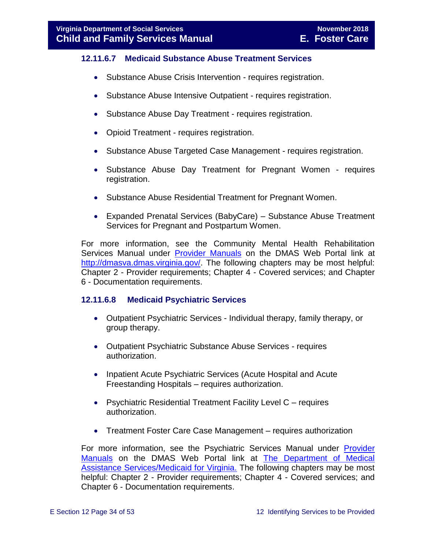#### **12.11.6.7 Medicaid Substance Abuse Treatment Services**

- Substance Abuse Crisis Intervention requires registration.
- Substance Abuse Intensive Outpatient requires registration.
- Substance Abuse Day Treatment requires registration.
- Opioid Treatment requires registration.
- Substance Abuse Targeted Case Management requires registration.
- Substance Abuse Day Treatment for Pregnant Women requires registration.
- Substance Abuse Residential Treatment for Pregnant Women.
- Expanded Prenatal Services (BabyCare) Substance Abuse Treatment Services for Pregnant and Postpartum Women.

For more information, see the Community Mental Health Rehabilitation Services Manual under [Provider Manuals](https://www.virginiamedicaid.dmas.virginia.gov/wps/portal/ProviderManual) on the DMAS Web Portal link at [http://dmasva.dmas.virginia.gov/.](http://dmasva.dmas.virginia.gov/) The following chapters may be most helpful: Chapter 2 - Provider requirements; Chapter 4 - Covered services; and Chapter 6 - Documentation requirements.

#### **12.11.6.8 Medicaid Psychiatric Services**

- Outpatient Psychiatric Services Individual therapy, family therapy, or group therapy.
- Outpatient Psychiatric Substance Abuse Services requires authorization.
- Inpatient Acute Psychiatric Services (Acute Hospital and Acute Freestanding Hospitals – requires authorization.
- Psychiatric Residential Treatment Facility Level C requires authorization.
- Treatment Foster Care Case Management requires authorization

For more information, see the Psychiatric Services Manual under [Provider](https://www.virginiamedicaid.dmas.virginia.gov/wps/portal/ProviderManual)  [Manuals](https://www.virginiamedicaid.dmas.virginia.gov/wps/portal/ProviderManual) on the DMAS Web Portal link at [The Department of Medical](http://dmasva.dmas.virginia.gov/)  [Assistance Services/Medicaid for Virginia.](http://dmasva.dmas.virginia.gov/) The following chapters may be most helpful: Chapter 2 - Provider requirements; Chapter 4 - Covered services; and Chapter 6 - Documentation requirements.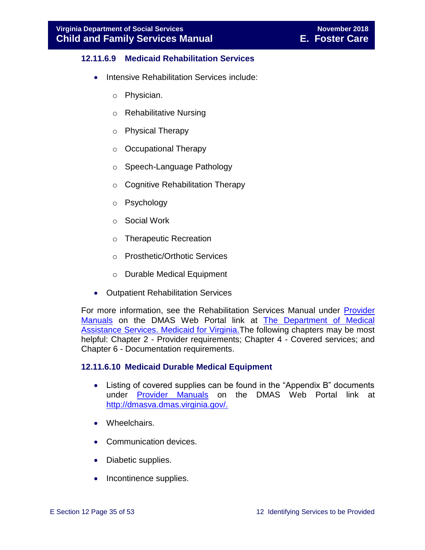#### **12.11.6.9 Medicaid Rehabilitation Services**

- Intensive Rehabilitation Services include:
	- o Physician.
	- o Rehabilitative Nursing
	- o Physical Therapy
	- o Occupational Therapy
	- o Speech-Language Pathology
	- o Cognitive Rehabilitation Therapy
	- o Psychology
	- o Social Work
	- o Therapeutic Recreation
	- o Prosthetic/Orthotic Services
	- o Durable Medical Equipment
- Outpatient Rehabilitation Services

For more information, see the Rehabilitation Services Manual under [Provider](https://www.virginiamedicaid.dmas.virginia.gov/wps/portal/ProviderManual)  [Manuals](https://www.virginiamedicaid.dmas.virginia.gov/wps/portal/ProviderManual) on the DMAS Web Portal link at [The Department of Medical](http://dmasva.dmas.virginia.gov/)  [Assistance Services. Medicaid for Virginia.T](http://dmasva.dmas.virginia.gov/)he following chapters may be most helpful: Chapter 2 - Provider requirements; Chapter 4 - Covered services; and Chapter 6 - Documentation requirements.

#### **12.11.6.10 Medicaid Durable Medical Equipment**

- Listing of covered supplies can be found in the "Appendix B" documents under [Provider Manuals](https://www.virginiamedicaid.dmas.virginia.gov/wps/portal/ProviderManual) on the DMAS Web Portal link at [http://dmasva.dmas.virginia.gov/.](http://dmasva.dmas.virginia.gov/)
- Wheelchairs.
- Communication devices.
- Diabetic supplies.
- Incontinence supplies.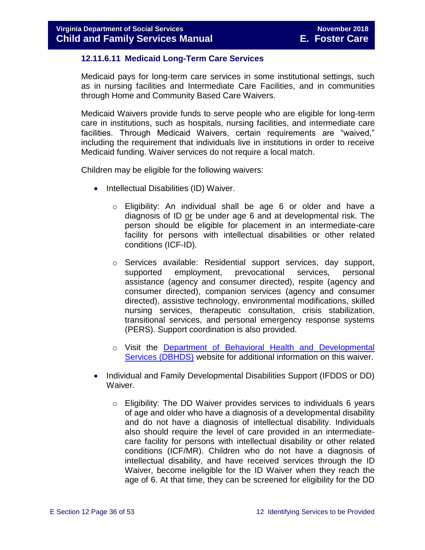#### **12.11.6.11 Medicaid Long-Term Care Services**

Medicaid pays for long-term care services in some institutional settings, such as in nursing facilities and Intermediate Care Facilities, and in communities through Home and Community Based Care Waivers.

Medicaid Waivers provide funds to serve people who are eligible for long-term care in institutions, such as hospitals, nursing facilities, and intermediate care facilities. Through Medicaid Waivers, certain requirements are "waived," including the requirement that individuals live in institutions in order to receive Medicaid funding. Waiver services do not require a local match.

Children may be eligible for the following waivers:

- Intellectual Disabilities (ID) Waiver.
	- o Eligibility: An individual shall be age 6 or older and have a diagnosis of ID or be under age 6 and at developmental risk. The person should be eligible for placement in an intermediate-care facility for persons with intellectual disabilities or other related conditions (ICF-ID).
	- o Services available: Residential support services, day support, supported employment, prevocational services, personal assistance (agency and consumer directed), respite (agency and consumer directed), companion services (agency and consumer directed), assistive technology, environmental modifications, skilled nursing services, therapeutic consultation, crisis stabilization, transitional services, and personal emergency response systems (PERS). Support coordination is also provided.
	- o Visit the [Department of Behavioral Health and Developmental](http://www.dbhds.virginia.gov/)  [Services \(DBHDS\)](http://www.dbhds.virginia.gov/) website for additional information on this waiver.
- Individual and Family Developmental Disabilities Support (IFDDS or DD) Waiver.
	- o Eligibility: The DD Waiver provides services to individuals 6 years of age and older who have a diagnosis of a developmental disability and do not have a diagnosis of intellectual disability. Individuals also should require the level of care provided in an intermediatecare facility for persons with intellectual disability or other related conditions (ICF/MR). Children who do not have a diagnosis of intellectual disability, and have received services through the ID Waiver, become ineligible for the ID Waiver when they reach the age of 6. At that time, they can be screened for eligibility for the DD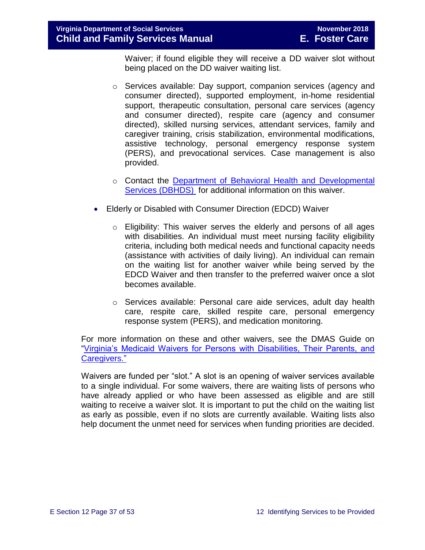Waiver; if found eligible they will receive a DD waiver slot without being placed on the DD waiver waiting list.

- o Services available: Day support, companion services (agency and consumer directed), supported employment, in-home residential support, therapeutic consultation, personal care services (agency and consumer directed), respite care (agency and consumer directed), skilled nursing services, attendant services, family and caregiver training, crisis stabilization, environmental modifications, assistive technology, personal emergency response system (PERS), and prevocational services. Case management is also provided.
- o Contact the Department of Behavioral [Health and Developmental](http://www.dbhds.virginia.gov/)  [Services \(DBHDS\)](http://www.dbhds.virginia.gov/) for additional information on this waiver.
- Elderly or Disabled with Consumer Direction (EDCD) Waiver
	- $\circ$  Eligibility: This waiver serves the elderly and persons of all ages with disabilities. An individual must meet nursing facility eligibility criteria, including both medical needs and functional capacity needs (assistance with activities of daily living). An individual can remain on the waiting list for another waiver while being served by the EDCD Waiver and then transfer to the preferred waiver once a slot becomes available.
	- o Services available: Personal care aide services, adult day health care, respite care, skilled respite care, personal emergency response system (PERS), and medication monitoring.

For more information on these and other waivers, see the DMAS Guide on ["Virginia's Medicaid Waivers for Persons with Disabilities, Their Parents, and](http://www.dmas.virginia.gov/Content_pgs/ltc-home.aspx)  [Caregivers."](http://www.dmas.virginia.gov/Content_pgs/ltc-home.aspx)

Waivers are funded per "slot." A slot is an opening of waiver services available to a single individual. For some waivers, there are waiting lists of persons who have already applied or who have been assessed as eligible and are still waiting to receive a waiver slot. It is important to put the child on the waiting list as early as possible, even if no slots are currently available. Waiting lists also help document the unmet need for services when funding priorities are decided.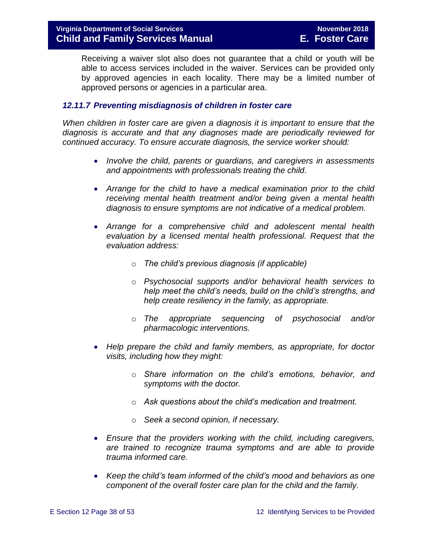Receiving a waiver slot also does not guarantee that a child or youth will be able to access services included in the waiver. Services can be provided only by approved agencies in each locality. There may be a limited number of approved persons or agencies in a particular area.

#### <span id="page-37-0"></span>*12.11.7 Preventing misdiagnosis of children in foster care*

*When children in foster care are given a diagnosis it is important to ensure that the diagnosis is accurate and that any diagnoses made are periodically reviewed for continued accuracy. To ensure accurate diagnosis, the service worker should:*

- *Involve the child, parents or guardians, and caregivers in assessments and appointments with professionals treating the child.*
- *Arrange for the child to have a medical examination prior to the child receiving mental health treatment and/or being given a mental health diagnosis to ensure symptoms are not indicative of a medical problem.*
- *Arrange for a comprehensive child and adolescent mental health evaluation by a licensed mental health professional. Request that the evaluation address:*
	- o *The child's previous diagnosis (if applicable)*
	- o *Psychosocial supports and/or behavioral health services to help meet the child's needs, build on the child's strengths, and help create resiliency in the family, as appropriate.*
	- o *The appropriate sequencing of psychosocial and/or pharmacologic interventions.*
- *Help prepare the child and family members, as appropriate, for doctor visits, including how they might:*
	- o *Share information on the child's emotions, behavior, and symptoms with the doctor.*
	- o *Ask questions about the child's medication and treatment.*
	- o *Seek a second opinion, if necessary.*
- *Ensure that the providers working with the child, including caregivers, are trained to recognize trauma symptoms and are able to provide trauma informed care.*
- *Keep the child's team informed of the child's mood and behaviors as one component of the overall foster care plan for the child and the family.*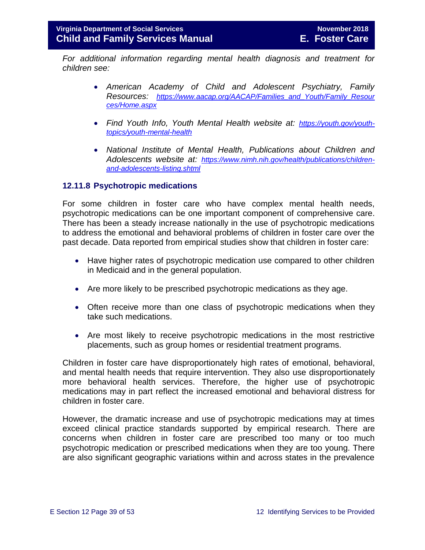*For additional information regarding mental health diagnosis and treatment for children see:*

- *American Academy of Child and Adolescent Psychiatry, Family Resources: [https://www.aacap.org/AACAP/Families\\_and\\_Youth/Family\\_Resour](https://www.aacap.org/AACAP/Families_and_Youth/Family_Resources/Home.aspx) [ces/Home.aspx](https://www.aacap.org/AACAP/Families_and_Youth/Family_Resources/Home.aspx)*
- *Find Youth Info, Youth Mental Health website at: [https://youth.gov/youth](https://youth.gov/youth-topics/youth-mental-health)[topics/youth-mental-health](https://youth.gov/youth-topics/youth-mental-health)*
- *National Institute of Mental Health, Publications about Children and Adolescents website at: [https://www.nimh.nih.gov/health/publications/children](https://www.nimh.nih.gov/health/publications/children-and-adolescents-listing.shtml)[and-adolescents-listing.shtml](https://www.nimh.nih.gov/health/publications/children-and-adolescents-listing.shtml)*

#### <span id="page-38-0"></span>**12.11.8 Psychotropic medications**

For some children in foster care who have complex mental health needs, psychotropic medications can be one important component of comprehensive care. There has been a steady increase nationally in the use of psychotropic medications to address the emotional and behavioral problems of children in foster care over the past decade. Data reported from empirical studies show that children in foster care:

- Have higher rates of psychotropic medication use compared to other children in Medicaid and in the general population.
- Are more likely to be prescribed psychotropic medications as they age.
- Often receive more than one class of psychotropic medications when they take such medications.
- Are most likely to receive psychotropic medications in the most restrictive placements, such as group homes or residential treatment programs.

Children in foster care have disproportionately high rates of emotional, behavioral, and mental health needs that require intervention. They also use disproportionately more behavioral health services. Therefore, the higher use of psychotropic medications may in part reflect the increased emotional and behavioral distress for children in foster care.

However, the dramatic increase and use of psychotropic medications may at times exceed clinical practice standards supported by empirical research. There are concerns when children in foster care are prescribed too many or too much psychotropic medication or prescribed medications when they are too young. There are also significant geographic variations within and across states in the prevalence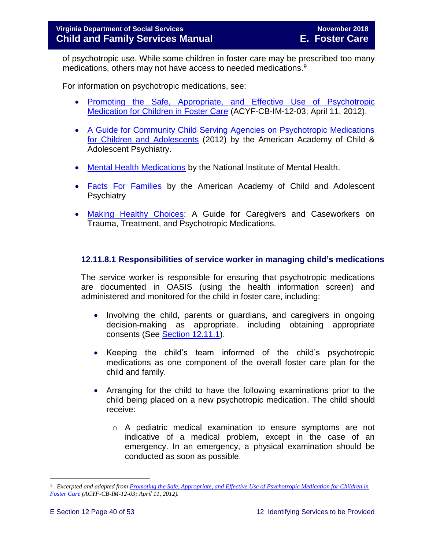of psychotropic use. While some children in foster care may be prescribed too many medications, others may not have access to needed medications. 9

For information on psychotropic medications, see:

- [Promoting the Safe, Appropriate, and Effective Use of Psychotropic](http://www.acf.hhs.gov/sites/default/files/cb/im1203.pdf)  [Medication for Children in Foster Care](http://www.acf.hhs.gov/sites/default/files/cb/im1203.pdf) (ACYF-CB-IM-12-03; April 11, 2012).
- [A Guide for Community Child Serving Agencies on Psychotropic Medications](http://www.aacap.org/App_Themes/AACAP/docs/press/guide_for_community_child_serving_agencies_on_psychotropic_medications_for_children_and_adolescents_2012.pdf)  [for Children and Adolescents](http://www.aacap.org/App_Themes/AACAP/docs/press/guide_for_community_child_serving_agencies_on_psychotropic_medications_for_children_and_adolescents_2012.pdf) (2012) by the American Academy of Child & Adolescent Psychiatry.
- [Mental Health Medications](http://www.nimh.nih.gov/health/publications/mental-health-medications/nimh-mental-health-medications.pdf) by the National Institute of Mental Health.
- **[Facts For Families](https://www.aacap.org/AACAP/Families_and_Youth/Facts_for_Families/Facts_for_families_Pages/Psychiatric_Medication_For_Children_And_Adolescents_Part_I_How_Medications_Are_Used_21.aspx)** by the American Academy of Child and Adolescent **Psychiatry**
- [Making Healthy Choices:](https://www.childwelfare.gov/pubs/mhc-caregivers/) A Guide for Caregivers and Caseworkers on Trauma, Treatment, and Psychotropic Medications.

#### **12.11.8.1 Responsibilities of service worker in managing child's medications**

The service worker is responsible for ensuring that psychotropic medications are documented in OASIS (using the health information screen) and administered and monitored for the child in foster care, including:

- Involving the child, parents or guardians, and caregivers in ongoing decision-making as appropriate, including obtaining appropriate consents (See [Section 12.11.1\)](#page-19-1).
- Keeping the child's team informed of the child's psychotropic medications as one component of the overall foster care plan for the child and family.
- Arranging for the child to have the following examinations prior to the child being placed on a new psychotropic medication. The child should receive:
	- o A pediatric medical examination to ensure symptoms are not indicative of a medical problem, except in the case of an emergency. In an emergency, a physical examination should be conducted as soon as possible.

L,

<sup>9</sup> *Excerpted and adapted from Promoting the Safe, Appropriate, and Effective [Use of Psychotropic Medication for Children in](http://www.acf.hhs.gov/sites/default/files/cb/im1203.pdf)  [Foster Care](http://www.acf.hhs.gov/sites/default/files/cb/im1203.pdf) (ACYF-CB-IM-12-03; April 11, 2012).*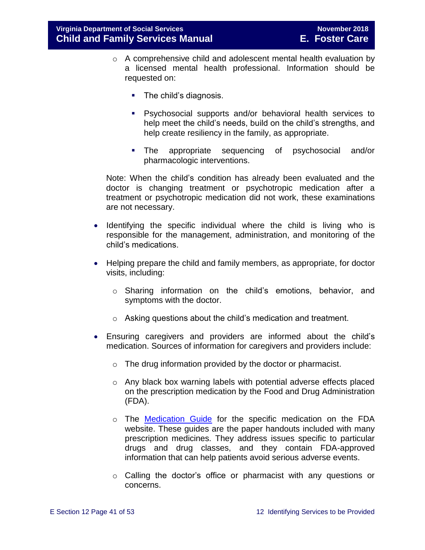- o A comprehensive child and adolescent mental health evaluation by a licensed mental health professional. Information should be requested on:
	- The child's diagnosis.
	- Psychosocial supports and/or behavioral health services to help meet the child's needs, build on the child's strengths, and help create resiliency in the family, as appropriate.
	- The appropriate sequencing of psychosocial and/or pharmacologic interventions.

Note: When the child's condition has already been evaluated and the doctor is changing treatment or psychotropic medication after a treatment or psychotropic medication did not work, these examinations are not necessary.

- Identifying the specific individual where the child is living who is responsible for the management, administration, and monitoring of the child's medications.
- Helping prepare the child and family members, as appropriate, for doctor visits, including:
	- o Sharing information on the child's emotions, behavior, and symptoms with the doctor.
	- o Asking questions about the child's medication and treatment.
- Ensuring caregivers and providers are informed about the child's medication. Sources of information for caregivers and providers include:
	- o The drug information provided by the doctor or pharmacist.
	- o Any black box warning labels with potential adverse effects placed on the prescription medication by the Food and Drug Administration (FDA).
	- $\circ$  The [Medication Guide](http://www.fda.gov/Drugs/DrugSafety/ucm085729.htm) for the specific medication on the FDA website. These guides are the paper handouts included with many prescription medicines. They address issues specific to particular drugs and drug classes, and they contain FDA-approved information that can help patients avoid serious adverse events.
	- o Calling the doctor's office or pharmacist with any questions or concerns.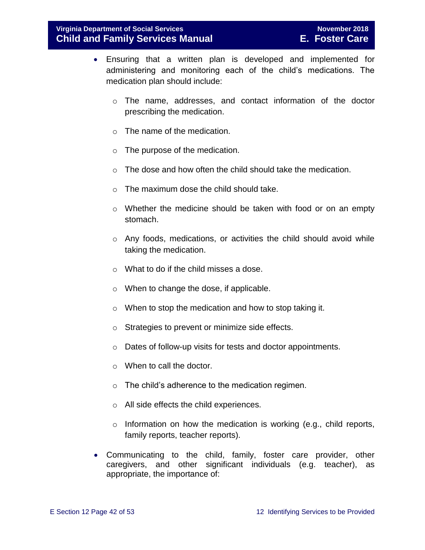- Ensuring that a written plan is developed and implemented for administering and monitoring each of the child's medications. The medication plan should include:
	- o The name, addresses, and contact information of the doctor prescribing the medication.
	- o The name of the medication.
	- $\circ$  The purpose of the medication.
	- o The dose and how often the child should take the medication.
	- o The maximum dose the child should take.
	- $\circ$  Whether the medicine should be taken with food or on an empty stomach.
	- $\circ$  Any foods, medications, or activities the child should avoid while taking the medication.
	- o What to do if the child misses a dose.
	- o When to change the dose, if applicable.
	- o When to stop the medication and how to stop taking it.
	- o Strategies to prevent or minimize side effects.
	- o Dates of follow-up visits for tests and doctor appointments.
	- o When to call the doctor.
	- o The child's adherence to the medication regimen.
	- o All side effects the child experiences.
	- o Information on how the medication is working (e.g., child reports, family reports, teacher reports).
- Communicating to the child, family, foster care provider, other caregivers, and other significant individuals (e.g. teacher), as appropriate, the importance of: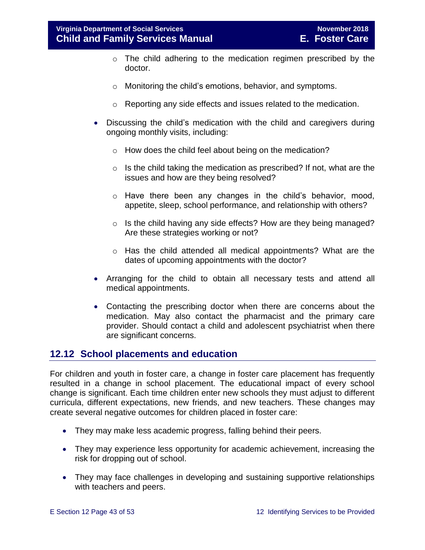- o The child adhering to the medication regimen prescribed by the doctor.
- o Monitoring the child's emotions, behavior, and symptoms.
- o Reporting any side effects and issues related to the medication.
- Discussing the child's medication with the child and caregivers during ongoing monthly visits, including:
	- o How does the child feel about being on the medication?
	- $\circ$  Is the child taking the medication as prescribed? If not, what are the issues and how are they being resolved?
	- $\circ$  Have there been any changes in the child's behavior, mood, appetite, sleep, school performance, and relationship with others?
	- o Is the child having any side effects? How are they being managed? Are these strategies working or not?
	- $\circ$  Has the child attended all medical appointments? What are the dates of upcoming appointments with the doctor?
- Arranging for the child to obtain all necessary tests and attend all medical appointments.
- Contacting the prescribing doctor when there are concerns about the medication. May also contact the pharmacist and the primary care provider. Should contact a child and adolescent psychiatrist when there are significant concerns.

## <span id="page-42-1"></span><span id="page-42-0"></span>**12.12 School placements and education**

For children and youth in foster care, a change in foster care placement has frequently resulted in a change in school placement. The educational impact of every school change is significant. Each time children enter new schools they must adjust to different curricula, different expectations, new friends, and new teachers. These changes may create several negative outcomes for children placed in foster care:

- They may make less academic progress, falling behind their peers.
- They may experience less opportunity for academic achievement, increasing the risk for dropping out of school.
- They may face challenges in developing and sustaining supportive relationships with teachers and peers.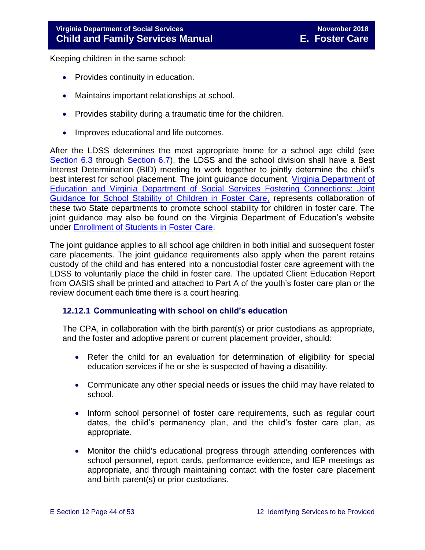Keeping children in the same school:

- Provides continuity in education.
- Maintains important relationships at school.
- Provides stability during a traumatic time for the children.
- Improves educational and life outcomes.

After the LDSS determines the most appropriate home for a school age child (see [Section 6.3](file://///Vaultcelerra.co.dss.state.va.us/Workgroup/Family_Services/DFS%20Child%20and%20Family%20Services%20Manual/E.%20Foster%20Care/Foster%20Care%20June%202017/section_6_placement_to_achieve_permanency.draft.docx) through [Section 6.7\)](file://///Vaultcelerra.co.dss.state.va.us/Workgroup/Family_Services/DFS%20Child%20and%20Family%20Services%20Manual/E.%20Foster%20Care/Foster%20Care%20June%202017/section_6_placement_to_achieve_permanency.draft.docx), the LDSS and the school division shall have a Best Interest Determination (BID) meeting to work together to jointly determine the child's best interest for school placement. The joint guidance document, [Virginia Department of](http://www.dss.virginia.gov/family/fc/index.cgi)  [Education and Virginia Department of Social Services Fostering Connections: Joint](http://www.dss.virginia.gov/family/fc/index.cgi)  [Guidance for School Stability of Children in Foster Care,](http://www.dss.virginia.gov/family/fc/index.cgi) represents collaboration of these two State departments to promote school stability for children in foster care. The joint guidance may also be found on the Virginia Department of Education's website under [Enrollment of Students in Foster Care.](http://www.doe.virginia.gov/support/student_family/foster_care_students/index.shtml)

The joint guidance applies to all school age children in both initial and subsequent foster care placements. The joint guidance requirements also apply when the parent retains custody of the child and has entered into a noncustodial foster care agreement with the LDSS to voluntarily place the child in foster care. The updated Client Education Report from OASIS shall be printed and attached to Part A of the youth's foster care plan or the review document each time there is a court hearing.

#### <span id="page-43-0"></span>**12.12.1 Communicating with school on child's education**

The CPA, in collaboration with the birth parent(s) or prior custodians as appropriate, and the foster and adoptive parent or current placement provider, should:

- Refer the child for an evaluation for determination of eligibility for special education services if he or she is suspected of having a disability.
- Communicate any other special needs or issues the child may have related to school.
- Inform school personnel of foster care requirements, such as regular court dates, the child's permanency plan, and the child's foster care plan, as appropriate.
- Monitor the child's educational progress through attending conferences with school personnel, report cards, performance evidence, and IEP meetings as appropriate, and through maintaining contact with the foster care placement and birth parent(s) or prior custodians.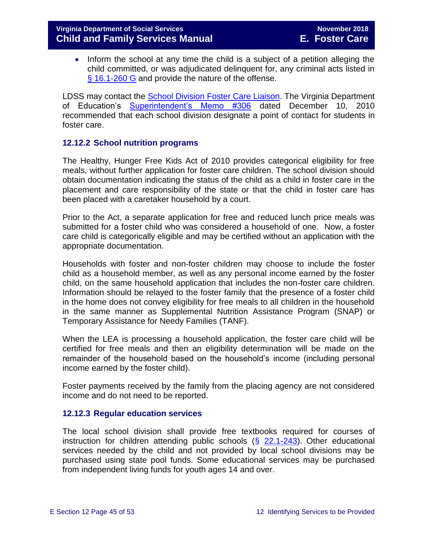• Inform the school at any time the child is a subject of a petition alleging the child committed, or was adjudicated delinquent for, any criminal acts listed in [§ 16.1-260 G](http://law.lis.virginia.gov/vacode/16.1-260/) and provide the nature of the offense.

LDSS may contact the [School Division Foster Care Liaison.](http://www.doe.virginia.gov/support/student_family/foster_care_students/fostering_connection_liaisons.pdf) The Virginia Department of Education's **[Superintendent's Memo #306](http://www.doe.virginia.gov/administrators/superintendents_memos/2010/306-10.shtml)** dated December 10, 2010 recommended that each school division designate a point of contact for students in foster care.

#### <span id="page-44-0"></span>**12.12.2 School nutrition programs**

The Healthy, Hunger Free Kids Act of 2010 provides categorical eligibility for free meals, without further application for foster care children. The school division should obtain documentation indicating the status of the child as a child in foster care in the placement and care responsibility of the state or that the child in foster care has been placed with a caretaker household by a court.

Prior to the Act, a separate application for free and reduced lunch price meals was submitted for a foster child who was considered a household of one. Now, a foster care child is categorically eligible and may be certified without an application with the appropriate documentation.

Households with foster and non-foster children may choose to include the foster child as a household member, as well as any personal income earned by the foster child, on the same household application that includes the non-foster care children. Information should be relayed to the foster family that the presence of a foster child in the home does not convey eligibility for free meals to all children in the household in the same manner as Supplemental Nutrition Assistance Program (SNAP) or Temporary Assistance for Needy Families (TANF).

When the LEA is processing a household application, the foster care child will be certified for free meals and then an eligibility determination will be made on the remainder of the household based on the household's income (including personal income earned by the foster child).

Foster payments received by the family from the placing agency are not considered income and do not need to be reported.

#### <span id="page-44-1"></span>**12.12.3 Regular education services**

The local school division shall provide free textbooks required for courses of instruction for children attending public schools  $(\frac{22.1-243}{2})$ . Other educational services needed by the child and not provided by local school divisions may be purchased using state pool funds. Some educational services may be purchased from independent living funds for youth ages 14 and over.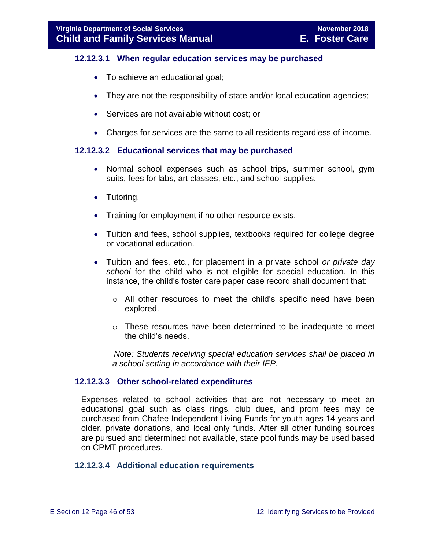#### **12.12.3.1 When regular education services may be purchased**

- To achieve an educational goal;
- They are not the responsibility of state and/or local education agencies;
- Services are not available without cost; or
- Charges for services are the same to all residents regardless of income.

#### **12.12.3.2 Educational services that may be purchased**

- Normal school expenses such as school trips, summer school, gym suits, fees for labs, art classes, etc., and school supplies.
- Tutoring.
- Training for employment if no other resource exists.
- Tuition and fees, school supplies, textbooks required for college degree or vocational education.
- Tuition and fees, etc., for placement in a private school *or private day school* for the child who is not eligible for special education. In this instance, the child's foster care paper case record shall document that:
	- o All other resources to meet the child's specific need have been explored.
	- $\circ$  These resources have been determined to be inadequate to meet the child's needs.

 *Note: Students receiving special education services shall be placed in a school setting in accordance with their IEP.*

#### **12.12.3.3 Other school-related expenditures**

Expenses related to school activities that are not necessary to meet an educational goal such as class rings, club dues, and prom fees may be purchased from Chafee Independent Living Funds for youth ages 14 years and older, private donations, and local only funds. After all other funding sources are pursued and determined not available, state pool funds may be used based on CPMT procedures.

#### **12.12.3.4 Additional education requirements**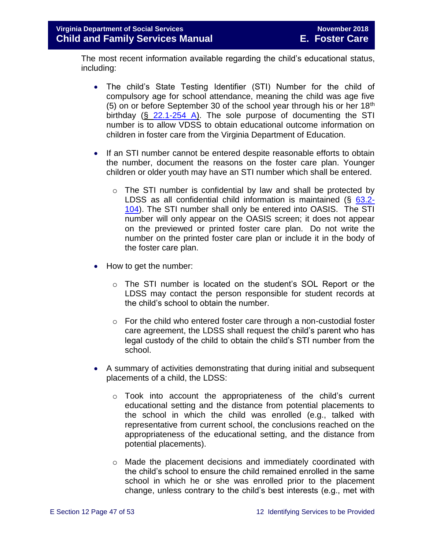The most recent information available regarding the child's educational status, including:

- The child's State Testing Identifier (STI) Number for the child of compulsory age for school attendance, meaning the child was age five (5) on or before September 30 of the school year through his or her  $18<sup>th</sup>$ birthday (§ [22.1-254 A\)](http://law.lis.virginia.gov/vacode/22.1-254/). The sole purpose of documenting the STI number is to allow VDSS to obtain educational outcome information on children in foster care from the Virginia Department of Education.
- If an STI number cannot be entered despite reasonable efforts to obtain the number, document the reasons on the foster care plan. Younger children or older youth may have an STI number which shall be entered.
	- $\circ$  The STI number is confidential by law and shall be protected by LDSS as all confidential child information is maintained (§ [63.2-](http://law.lis.virginia.gov/vacode/63.2-104/) [104\)](http://law.lis.virginia.gov/vacode/63.2-104/). The STI number shall only be entered into OASIS. The STI number will only appear on the OASIS screen; it does not appear on the previewed or printed foster care plan. Do not write the number on the printed foster care plan or include it in the body of the foster care plan.
- How to get the number:
	- $\circ$  The STI number is located on the student's SOL Report or the LDSS may contact the person responsible for student records at the child's school to obtain the number.
	- $\circ$  For the child who entered foster care through a non-custodial foster care agreement, the LDSS shall request the child's parent who has legal custody of the child to obtain the child's STI number from the school.
- A summary of activities demonstrating that during initial and subsequent placements of a child, the LDSS:
	- $\circ$  Took into account the appropriateness of the child's current educational setting and the distance from potential placements to the school in which the child was enrolled (e.g., talked with representative from current school, the conclusions reached on the appropriateness of the educational setting, and the distance from potential placements).
	- $\circ$  Made the placement decisions and immediately coordinated with the child's school to ensure the child remained enrolled in the same school in which he or she was enrolled prior to the placement change, unless contrary to the child's best interests (e.g., met with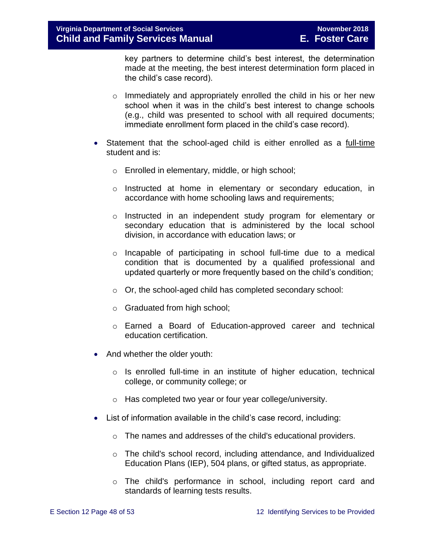key partners to determine child's best interest, the determination made at the meeting, the best interest determination form placed in the child's case record).

- o Immediately and appropriately enrolled the child in his or her new school when it was in the child's best interest to change schools (e.g., child was presented to school with all required documents; immediate enrollment form placed in the child's case record).
- Statement that the school-aged child is either enrolled as a full-time student and is:
	- o Enrolled in elementary, middle, or high school;
	- $\circ$  Instructed at home in elementary or secondary education, in accordance with home schooling laws and requirements;
	- o Instructed in an independent study program for elementary or secondary education that is administered by the local school division, in accordance with education laws; or
	- o Incapable of participating in school full-time due to a medical condition that is documented by a qualified professional and updated quarterly or more frequently based on the child's condition;
	- o Or, the school-aged child has completed secondary school:
	- o Graduated from high school;
	- o Earned a Board of Education-approved career and technical education certification.
- And whether the older youth:
	- o Is enrolled full-time in an institute of higher education, technical college, or community college; or
	- o Has completed two year or four year college/university.
- List of information available in the child's case record, including:
	- o The names and addresses of the child's educational providers.
	- $\circ$  The child's school record, including attendance, and Individualized Education Plans (IEP), 504 plans, or gifted status, as appropriate.
	- o The child's performance in school, including report card and standards of learning tests results.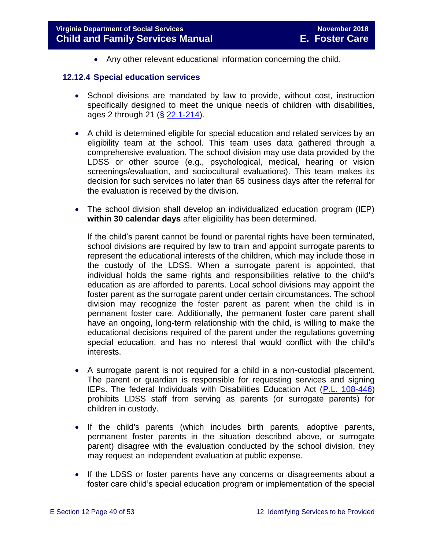Any other relevant educational information concerning the child.

#### <span id="page-48-0"></span>**12.12.4 Special education services**

- School divisions are mandated by law to provide, without cost, instruction specifically designed to meet the unique needs of children with disabilities, ages 2 through 21 (§ [22.1-214\)](http://law.lis.virginia.gov/vacode/22.1-214/).
- A child is determined eligible for special education and related services by an eligibility team at the school. This team uses data gathered through a comprehensive evaluation. The school division may use data provided by the LDSS or other source (e.g., psychological, medical, hearing or vision screenings/evaluation, and sociocultural evaluations). This team makes its decision for such services no later than 65 business days after the referral for the evaluation is received by the division.
- The school division shall develop an individualized education program (IEP) **within 30 calendar days** after eligibility has been determined.

If the child's parent cannot be found or parental rights have been terminated, school divisions are required by law to train and appoint surrogate parents to represent the educational interests of the children, which may include those in the custody of the LDSS. When a surrogate parent is appointed, that individual holds the same rights and responsibilities relative to the child's education as are afforded to parents. Local school divisions may appoint the foster parent as the surrogate parent under certain circumstances. The school division may recognize the foster parent as parent when the child is in permanent foster care. Additionally, the permanent foster care parent shall have an ongoing, long-term relationship with the child, is willing to make the educational decisions required of the parent under the regulations governing special education, and has no interest that would conflict with the child's interests.

- A surrogate parent is not required for a child in a non-custodial placement. The parent or guardian is responsible for requesting services and signing IEPs. The federal Individuals with Disabilities Education Act [\(P.L. 108-446\)](https://www.gpo.gov/fdsys/pkg/PLAW-108publ446) prohibits LDSS staff from serving as parents (or surrogate parents) for children in custody.
- If the child's parents (which includes birth parents, adoptive parents, permanent foster parents in the situation described above, or surrogate parent) disagree with the evaluation conducted by the school division, they may request an independent evaluation at public expense.
- If the LDSS or foster parents have any concerns or disagreements about a foster care child's special education program or implementation of the special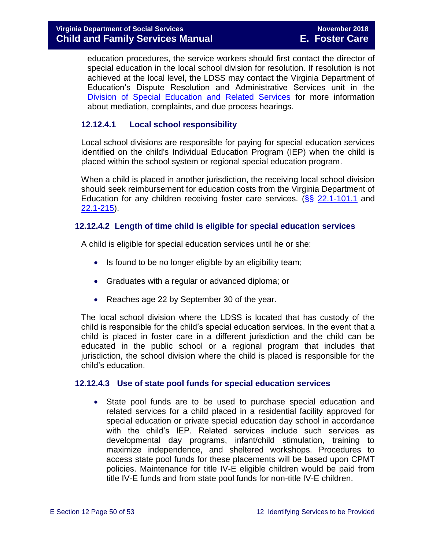education procedures, the service workers should first contact the director of special education in the local school division for resolution. If resolution is not achieved at the local level, the LDSS may contact the Virginia Department of Education's Dispute Resolution and Administrative Services unit in the [Division of Special Education and Related Services](http://www.doe.virginia.gov/special_ed/resolving_disputes/) for more information about mediation, complaints, and due process hearings.

#### **12.12.4.1 Local school responsibility**

Local school divisions are responsible for paying for special education services identified on the child's Individual Education Program (IEP) when the child is placed within the school system or regional special education program.

When a child is placed in another jurisdiction, the receiving local school division should seek reimbursement for education costs from the Virginia Department of Education for any children receiving foster care services. ( $\S$ § [22.1-101.1](http://law.lis.virginia.gov/vacode/22.1-101.1/) and [22.1-215\)](http://law.lis.virginia.gov/vacode/22.1-215/).

#### **12.12.4.2 Length of time child is eligible for special education services**

A child is eligible for special education services until he or she:

- Is found to be no longer eligible by an eligibility team;
- Graduates with a regular or advanced diploma; or
- Reaches age 22 by September 30 of the year.

The local school division where the LDSS is located that has custody of the child is responsible for the child's special education services. In the event that a child is placed in foster care in a different jurisdiction and the child can be educated in the public school or a regional program that includes that jurisdiction, the school division where the child is placed is responsible for the child's education.

#### **12.12.4.3 Use of state pool funds for special education services**

 State pool funds are to be used to purchase special education and related services for a child placed in a residential facility approved for special education or private special education day school in accordance with the child's IEP. Related services include such services as developmental day programs, infant/child stimulation, training to maximize independence, and sheltered workshops. Procedures to access state pool funds for these placements will be based upon CPMT policies. Maintenance for title IV-E eligible children would be paid from title IV-E funds and from state pool funds for non-title IV-E children.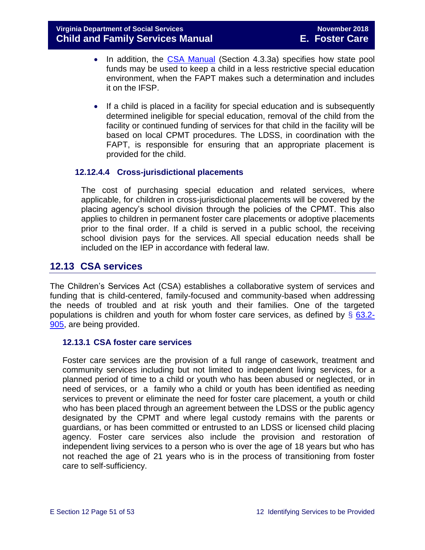- In addition, the [CSA Manual](http://www.csa.state.va.us/html/manual_pubs/csa_manual_publications.cfm) (Section 4.3.3a) specifies how state pool funds may be used to keep a child in a less restrictive special education environment, when the FAPT makes such a determination and includes it on the IFSP.
- If a child is placed in a facility for special education and is subsequently determined ineligible for special education, removal of the child from the facility or continued funding of services for that child in the facility will be based on local CPMT procedures. The LDSS, in coordination with the FAPT, is responsible for ensuring that an appropriate placement is provided for the child.

#### **12.12.4.4 Cross-jurisdictional placements**

The cost of purchasing special education and related services, where applicable, for children in cross-jurisdictional placements will be covered by the placing agency's school division through the policies of the CPMT. This also applies to children in permanent foster care placements or adoptive placements prior to the final order. If a child is served in a public school, the receiving school division pays for the services. All special education needs shall be included on the IEP in accordance with federal law.

## <span id="page-50-0"></span>**12.13 CSA services**

The Children's Services Act (CSA) establishes a collaborative system of services and funding that is child-centered, family-focused and community-based when addressing the needs of troubled and at risk youth and their families. One of the targeted populations is children and youth for whom foster care services, as defined by  $\S$  [63.2-](http://law.lis.virginia.gov/vacode/63.2-905/) [905,](http://law.lis.virginia.gov/vacode/63.2-905/) are being provided.

#### <span id="page-50-1"></span>**12.13.1 CSA foster care services**

Foster care services are the provision of a full range of casework, treatment and community services including but not limited to independent living services, for a planned period of time to a child or youth who has been abused or neglected, or in need of services, or a family who a child or youth has been identified as needing services to prevent or eliminate the need for foster care placement, a youth or child who has been placed through an agreement between the LDSS or the public agency designated by the CPMT and where legal custody remains with the parents or guardians, or has been committed or entrusted to an LDSS or licensed child placing agency. Foster care services also include the provision and restoration of independent living services to a person who is over the age of 18 years but who has not reached the age of 21 years who is in the process of transitioning from foster care to self-sufficiency.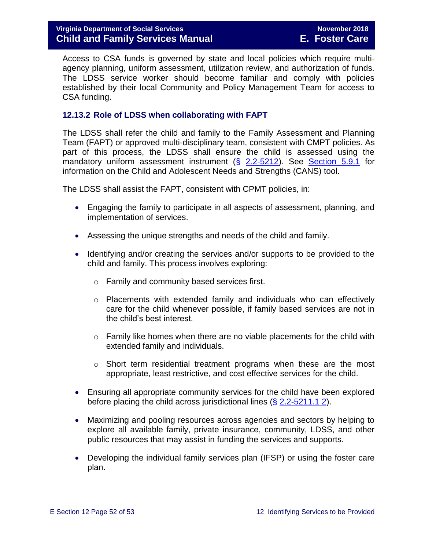Access to CSA funds is governed by state and local policies which require multiagency planning, uniform assessment, utilization review, and authorization of funds. The LDSS service worker should become familiar and comply with policies established by their local Community and Policy Management Team for access to CSA funding.

#### <span id="page-51-0"></span>**12.13.2 Role of LDSS when collaborating with FAPT**

The LDSS shall refer the child and family to the Family Assessment and Planning Team (FAPT) or approved multi-disciplinary team, consistent with CMPT policies. As part of this process, the LDSS shall ensure the child is assessed using the mandatory uniform assessment instrument (§ [2.2-5212\)](http://law.lis.virginia.gov/vacode/2.2-5212/). See [Section 5.9.1](file://///Vaultcelerra.co.dss.state.va.us/Workgroup/Family_Services/DFS%20Child%20and%20Family%20Services%20Manual/E.%20Foster%20Care/Foster%20Care%20June%202017/section_5_conducting_child_and_family_assessment.docx) for information on the Child and Adolescent Needs and Strengths (CANS) tool.

The LDSS shall assist the FAPT, consistent with CPMT policies, in:

- Engaging the family to participate in all aspects of assessment, planning, and implementation of services.
- Assessing the unique strengths and needs of the child and family.
- Identifying and/or creating the services and/or supports to be provided to the child and family. This process involves exploring:
	- o Family and community based services first.
	- $\circ$  Placements with extended family and individuals who can effectively care for the child whenever possible, if family based services are not in the child's best interest.
	- $\circ$  Family like homes when there are no viable placements for the child with extended family and individuals.
	- $\circ$  Short term residential treatment programs when these are the most appropriate, least restrictive, and cost effective services for the child.
- Ensuring all appropriate community services for the child have been explored before placing the child across jurisdictional lines  $(\S 2.2 - 5211.1 2)$ .
- Maximizing and pooling resources across agencies and sectors by helping to explore all available family, private insurance, community, LDSS, and other public resources that may assist in funding the services and supports.
- Developing the individual family services plan (IFSP) or using the foster care plan.